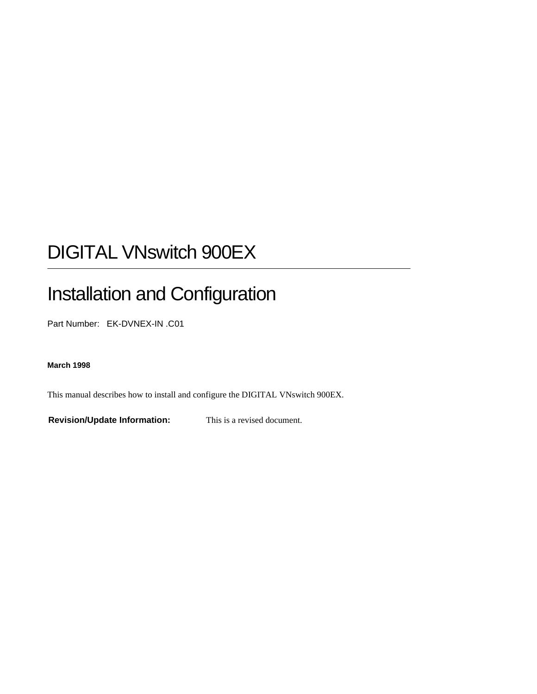# DIGITAL VNswitch 900EX

# Installation and Configuration

Part Number: EK-DVNEX-IN .C01

#### **March 1998**

This manual describes how to install and configure the DIGITAL VNswitch 900EX.

**Revision/Update Information:** This is a revised document.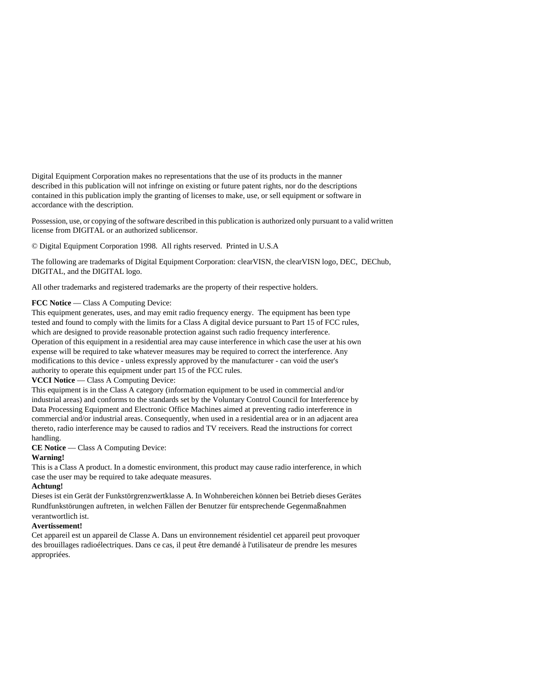Digital Equipment Corporation makes no representations that the use of its products in the manner described in this publication will not infringe on existing or future patent rights, nor do the descriptions contained in this publication imply the granting of licenses to make, use, or sell equipment or software in accordance with the description.

Possession, use, or copying of the software described in this publication is authorized only pursuant to a valid written license from DIGITAL or an authorized sublicensor.

© Digital Equipment Corporation 1998. All rights reserved. Printed in U.S.A

The following are trademarks of Digital Equipment Corporation: clearVISN, the clearVISN logo, DEC, DEChub, DIGITAL, and the DIGITAL logo.

All other trademarks and registered trademarks are the property of their respective holders.

#### **FCC Notice** — Class A Computing Device:

This equipment generates, uses, and may emit radio frequency energy. The equipment has been type tested and found to comply with the limits for a Class A digital device pursuant to Part 15 of FCC rules, which are designed to provide reasonable protection against such radio frequency interference. Operation of this equipment in a residential area may cause interference in which case the user at his own expense will be required to take whatever measures may be required to correct the interference. Any modifications to this device - unless expressly approved by the manufacturer - can void the user's authority to operate this equipment under part 15 of the FCC rules.

**VCCI Notice** — Class A Computing Device:

This equipment is in the Class A category (information equipment to be used in commercial and/or industrial areas) and conforms to the standards set by the Voluntary Control Council for Interference by Data Processing Equipment and Electronic Office Machines aimed at preventing radio interference in commercial and/or industrial areas. Consequently, when used in a residential area or in an adjacent area thereto, radio interference may be caused to radios and TV receivers. Read the instructions for correct handling.

**CE Notice** — Class A Computing Device:

#### **Warning!**

This is a Class A product. In a domestic environment, this product may cause radio interference, in which case the user may be required to take adequate measures.

#### **Achtung!**

Dieses ist ein Gerät der Funkstörgrenzwertklasse A. In Wohnbereichen können bei Betrieb dieses Gerätes Rundfunkstörungen auftreten, in welchen Fällen der Benutzer für entsprechende Gegenmaßnahmen verantwortlich ist.

#### **Avertissement!**

Cet appareil est un appareil de Classe A. Dans un environnement résidentiel cet appareil peut provoquer des brouillages radioélectriques. Dans ce cas, il peut être demandé à l'utilisateur de prendre les mesures appropriées.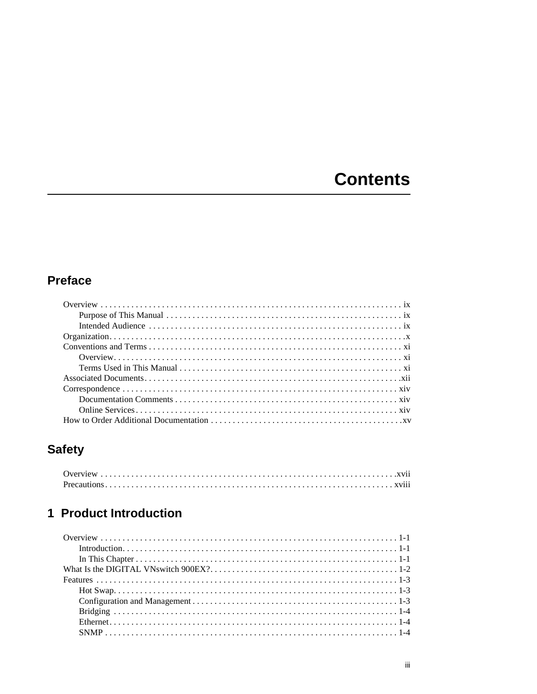# **Contents**

# **Preface**

# **Safety**

## 1 Product Introduction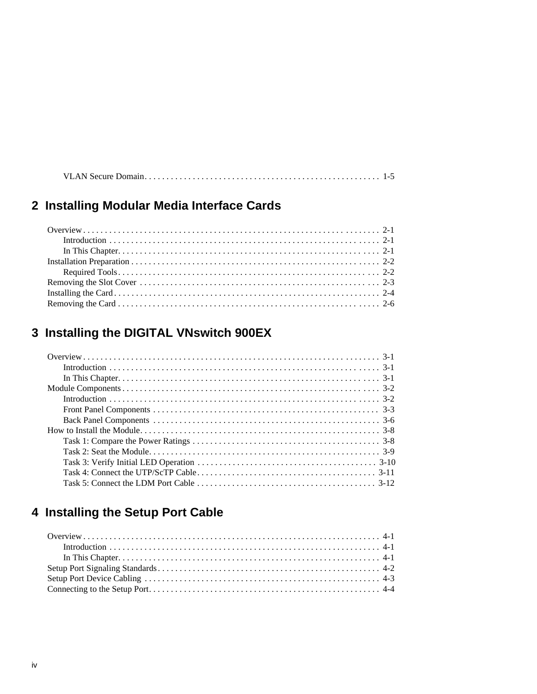|--|--|

# 2 Installing Modular Media Interface Cards

# 3 Installing the DIGITAL VNswitch 900EX

# 4 Installing the Setup Port Cable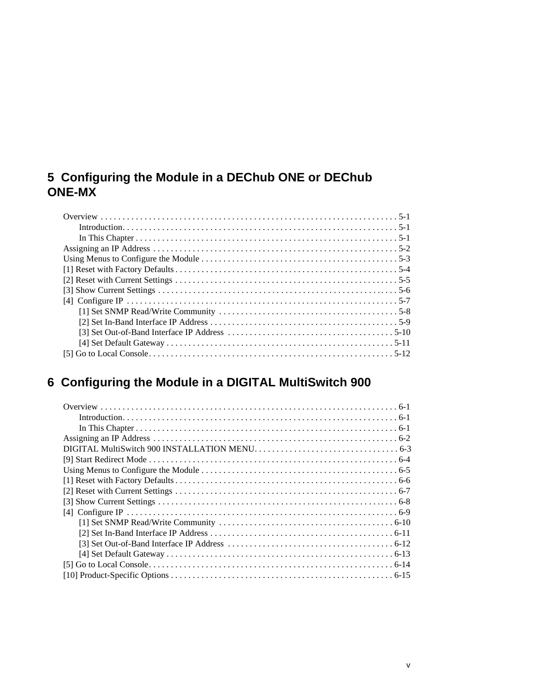## **[5 Configuring the Module in a DEChub ONE or DEChub](#page-52-0)  ONE-MX**

# **[6 Configuring the Module in a DIGITAL MultiSwitch 900](#page-64-0)**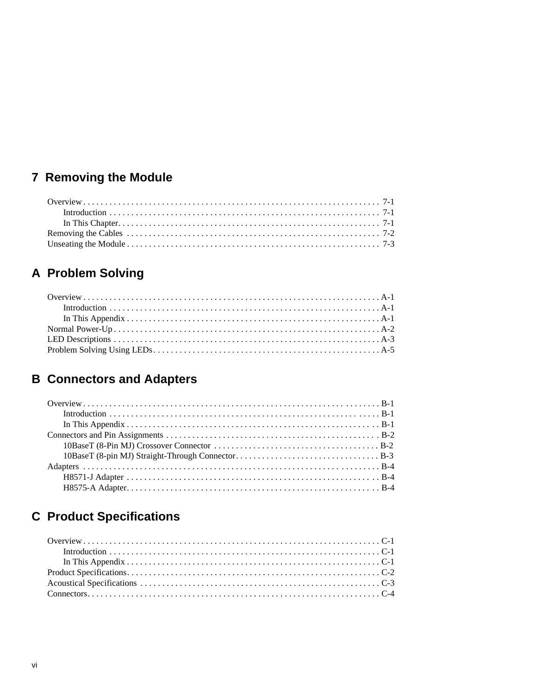# 7 Removing the Module

# A Problem Solving

# **B Connectors and Adapters**

# **C** Product Specifications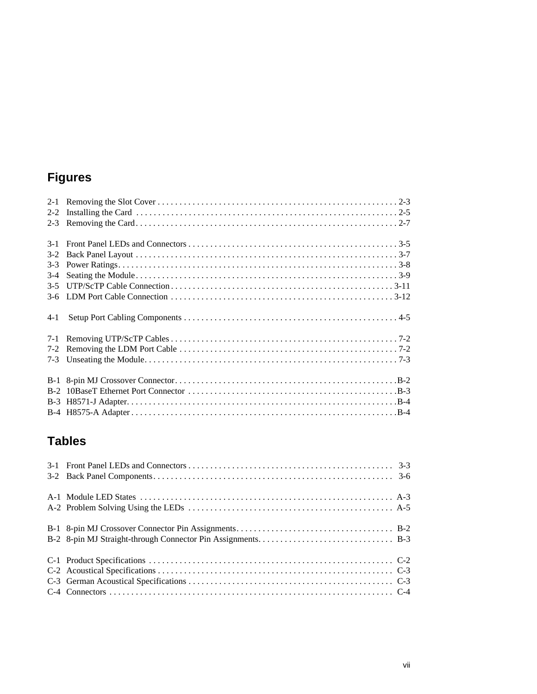# **Figures**

| $3-2$   |  |
|---------|--|
| $3 - 3$ |  |
| $3-4$   |  |
| $3 - 5$ |  |
|         |  |
| $4-1$   |  |
|         |  |
|         |  |
|         |  |
|         |  |
|         |  |
|         |  |
|         |  |

# **Tables**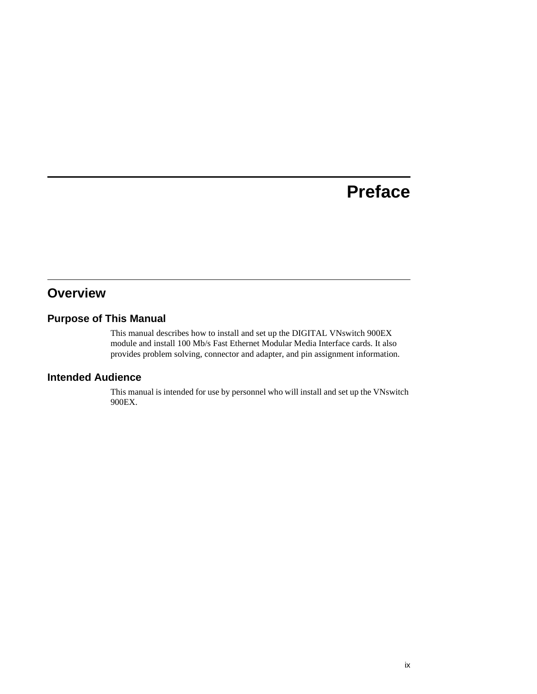# **Preface**

## <span id="page-8-0"></span>**Overview**

## **Purpose of This Manual**

This manual describes how to install and set up the DIGITAL VNswitch 900EX module and install 100 Mb/s Fast Ethernet Modular Media Interface cards. It also provides problem solving, connector and adapter, and pin assignment information.

### **Intended Audience**

This manual is intended for use by personnel who will install and set up the VNswitch 900EX.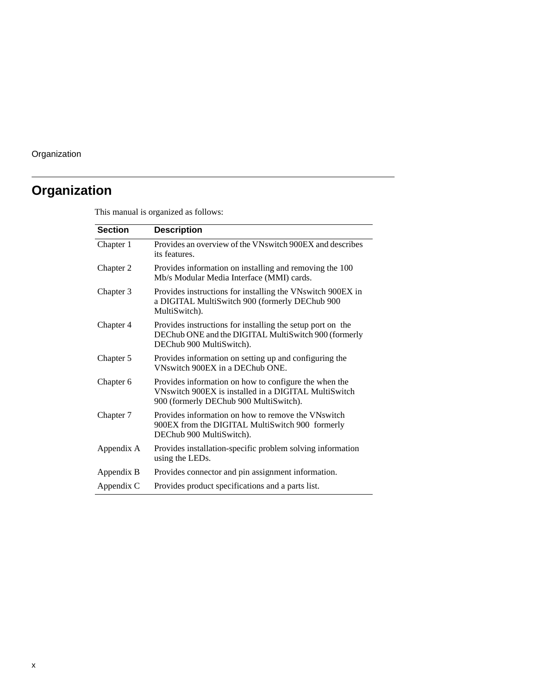# <span id="page-9-0"></span>**Organization**

This manual is organized as follows:

| <b>Section</b> | <b>Description</b>                                                                                                                                      |
|----------------|---------------------------------------------------------------------------------------------------------------------------------------------------------|
| Chapter 1      | Provides an overview of the VNswitch 900EX and describes<br>its features.                                                                               |
| Chapter 2      | Provides information on installing and removing the 100<br>Mb/s Modular Media Interface (MMI) cards.                                                    |
| Chapter 3      | Provides instructions for installing the VNswitch 900EX in<br>a DIGITAL MultiSwitch 900 (formerly DEChub 900<br>MultiSwitch).                           |
| Chapter 4      | Provides instructions for installing the setup port on the<br>DEChub ONE and the DIGITAL MultiSwitch 900 (formerly<br>DEChub 900 MultiSwitch).          |
| Chapter 5      | Provides information on setting up and configuring the<br>VNswitch 900EX in a DEChub ONE.                                                               |
| Chapter 6      | Provides information on how to configure the when the<br>VNswitch 900EX is installed in a DIGITAL MultiSwitch<br>900 (formerly DEChub 900 MultiSwitch). |
| Chapter 7      | Provides information on how to remove the VNswitch<br>900EX from the DIGITAL MultiSwitch 900 formerly<br>DEChub 900 MultiSwitch).                       |
| Appendix A     | Provides installation-specific problem solving information<br>using the LEDs.                                                                           |
| Appendix B     | Provides connector and pin assignment information.                                                                                                      |
| Appendix C     | Provides product specifications and a parts list.                                                                                                       |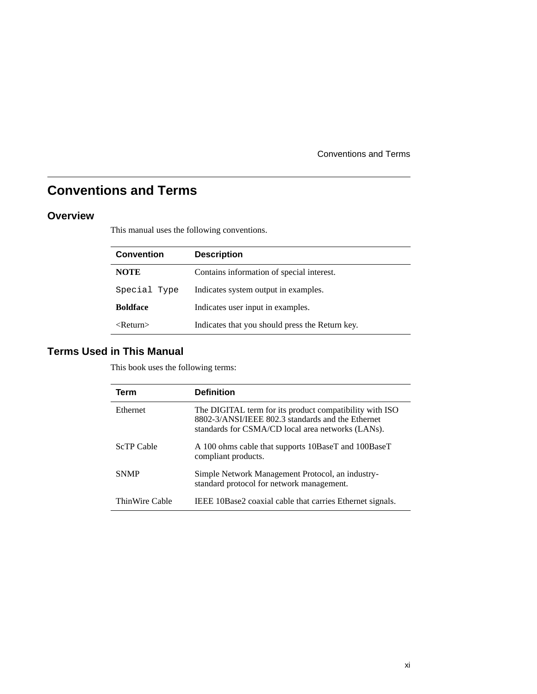Conventions and Terms

# <span id="page-10-0"></span>**Conventions and Terms**

### **Overview**

This manual uses the following conventions.

| <b>Convention</b>          | <b>Description</b>                              |
|----------------------------|-------------------------------------------------|
| <b>NOTE</b>                | Contains information of special interest.       |
| Special Type               | Indicates system output in examples.            |
| <b>Boldface</b>            | Indicates user input in examples.               |
| $\langle$ Return $\rangle$ | Indicates that you should press the Return key. |

## **Terms Used in This Manual**

This book uses the following terms:

| Term              | <b>Definition</b>                                                                                                                                                 |
|-------------------|-------------------------------------------------------------------------------------------------------------------------------------------------------------------|
| Ethernet          | The DIGITAL term for its product compatibility with ISO<br>8802-3/ANSI/IEEE 802.3 standards and the Ethernet<br>standards for CSMA/CD local area networks (LANs). |
| <b>ScTP</b> Cable | A 100 ohms cable that supports 10BaseT and 100BaseT<br>compliant products.                                                                                        |
| <b>SNMP</b>       | Simple Network Management Protocol, an industry-<br>standard protocol for network management.                                                                     |
| ThinWire Cable    | IEEE 10Base2 coaxial cable that carries Ethernet signals.                                                                                                         |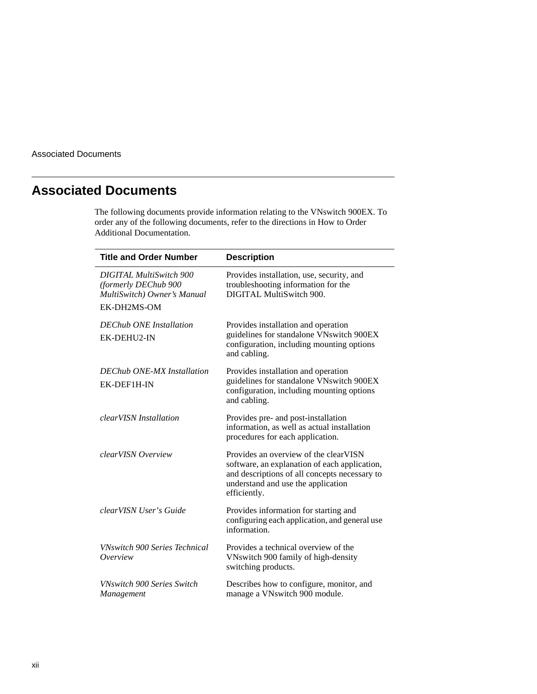<span id="page-11-0"></span>Associated Documents

## **Associated Documents**

The following documents provide information relating to the VNswitch 900EX. To order any of the following documents, refer to the directions in How to Order Additional Documentation.

| <b>Title and Order Number</b>                                                         | <b>Description</b>                                                                                                                                                                            |
|---------------------------------------------------------------------------------------|-----------------------------------------------------------------------------------------------------------------------------------------------------------------------------------------------|
| <b>DIGITAL MultiSwitch 900</b><br>(formerly DEChub 900<br>MultiSwitch) Owner's Manual | Provides installation, use, security, and<br>troubleshooting information for the<br>DIGITAL MultiSwitch 900.                                                                                  |
| EK-DH2MS-OM                                                                           |                                                                                                                                                                                               |
| <b>DEChub ONE</b> Installation<br>EK-DEHU2-IN                                         | Provides installation and operation<br>guidelines for standalone VNswitch 900EX<br>configuration, including mounting options<br>and cabling.                                                  |
| <b>DEChub ONE-MX Installation</b>                                                     | Provides installation and operation                                                                                                                                                           |
| EK-DEF1H-IN                                                                           | guidelines for standalone VNswitch 900EX<br>configuration, including mounting options<br>and cabling.                                                                                         |
| <i>clearVISN Installation</i>                                                         | Provides pre- and post-installation<br>information, as well as actual installation<br>procedures for each application.                                                                        |
| clearVISN Overview                                                                    | Provides an overview of the clearVISN<br>software, an explanation of each application,<br>and descriptions of all concepts necessary to<br>understand and use the application<br>efficiently. |
| clearVISN User's Guide                                                                | Provides information for starting and<br>configuring each application, and general use<br>information.                                                                                        |
| <b>VNswitch 900 Series Technical</b><br>Overview                                      | Provides a technical overview of the<br>VNswitch 900 family of high-density<br>switching products.                                                                                            |
| <b>VNswitch 900 Series Switch</b><br>Management                                       | Describes how to configure, monitor, and<br>manage a VNswitch 900 module.                                                                                                                     |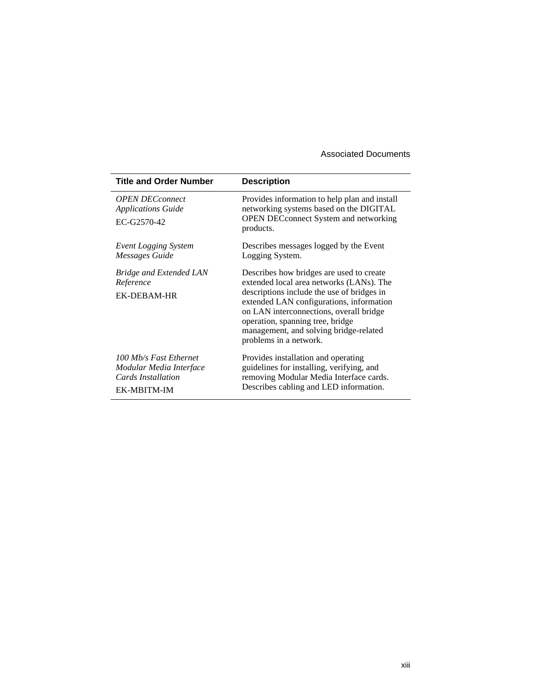#### Associated Documents

| <b>Title and Order Number</b>                                                          | <b>Description</b>                                                                                                                                                                                                                                                                                                                |
|----------------------------------------------------------------------------------------|-----------------------------------------------------------------------------------------------------------------------------------------------------------------------------------------------------------------------------------------------------------------------------------------------------------------------------------|
| <b>OPEN DECconnect</b><br><b>Applications Guide</b><br>EC-G2570-42                     | Provides information to help plan and install<br>networking systems based on the DIGITAL<br><b>OPEN DECconnect System and networking</b><br>products.                                                                                                                                                                             |
| Event Logging System<br><b>Messages Guide</b>                                          | Describes messages logged by the Event<br>Logging System.                                                                                                                                                                                                                                                                         |
| <b>Bridge and Extended LAN</b><br>Reference<br>EK-DEBAM-HR                             | Describes how bridges are used to create<br>extended local area networks (LANs). The<br>descriptions include the use of bridges in<br>extended LAN configurations, information<br>on LAN interconnections, overall bridge<br>operation, spanning tree, bridge<br>management, and solving bridge-related<br>problems in a network. |
| 100 Mb/s Fast Ethernet<br>Modular Media Interface<br>Cards Installation<br>EK-MBITM-IM | Provides installation and operating<br>guidelines for installing, verifying, and<br>removing Modular Media Interface cards.<br>Describes cabling and LED information.                                                                                                                                                             |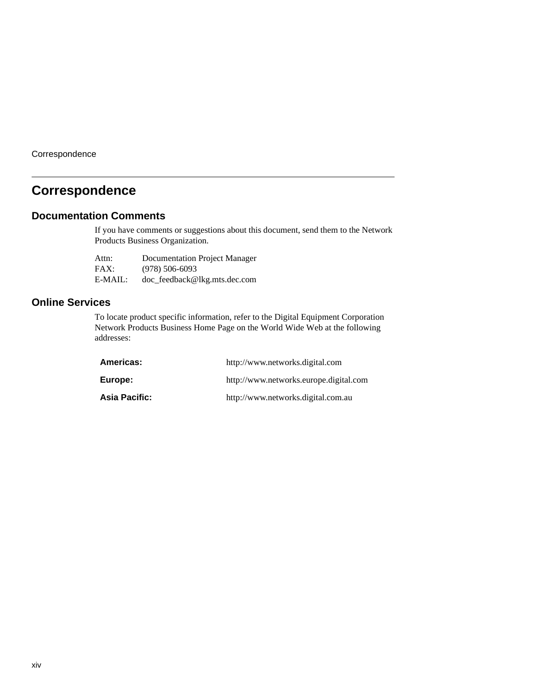<span id="page-13-0"></span>**Correspondence** 

## **Correspondence**

#### **Documentation Comments**

If you have comments or suggestions about this document, send them to the Network Products Business Organization.

| Attn:   | Documentation Project Manager |
|---------|-------------------------------|
| FAX:    | $(978) 506 - 6093$            |
| E-MAIL: | doc_feedback@lkg.mts.dec.com  |

### **Online Services**

To locate product specific information, refer to the Digital Equipment Corporation Network Products Business Home Page on the World Wide Web at the following addresses:

| Americas:       | http://www.networks.digital.com        |
|-----------------|----------------------------------------|
| Europe:         | http://www.networks.europe.digital.com |
| Asia Pacific: l | http://www.networks.digital.com.au     |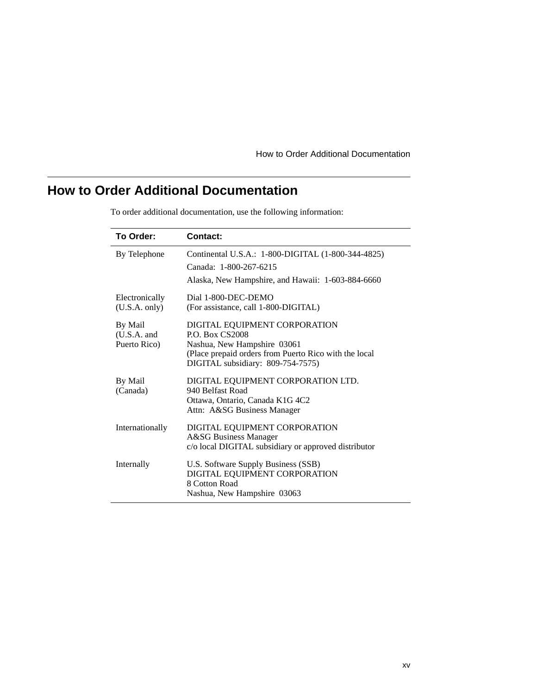How to Order Additional Documentation

# <span id="page-14-0"></span>**How to Order Additional Documentation**

| To Order:                                | Contact:                                                                                                                                                                             |
|------------------------------------------|--------------------------------------------------------------------------------------------------------------------------------------------------------------------------------------|
| By Telephone                             | Continental U.S.A.: 1-800-DIGITAL (1-800-344-4825)<br>Canada: 1-800-267-6215<br>Alaska, New Hampshire, and Hawaii: 1-603-884-6660                                                    |
| Electronically<br>(U.S.A. only)          | Dial 1-800-DEC-DEMO<br>(For assistance, call 1-800-DIGITAL)                                                                                                                          |
| By Mail<br>$(U.S.A.$ and<br>Puerto Rico) | DIGITAL EQUIPMENT CORPORATION<br><b>P.O. Box CS2008</b><br>Nashua, New Hampshire 03061<br>(Place prepaid orders from Puerto Rico with the local<br>DIGITAL subsidiary: 809-754-7575) |
| By Mail<br>(Canada)                      | DIGITAL EQUIPMENT CORPORATION LTD.<br>940 Belfast Road<br>Ottawa, Ontario, Canada K1G 4C2<br>Attn: A&SG Business Manager                                                             |
| Internationally                          | DIGITAL EQUIPMENT CORPORATION<br><b>A&amp;SG</b> Business Manager<br>c/o local DIGITAL subsidiary or approved distributor                                                            |
| Internally                               | U.S. Software Supply Business (SSB)<br>DIGITAL EQUIPMENT CORPORATION<br>8 Cotton Road<br>Nashua, New Hampshire 03063                                                                 |

To order additional documentation, use the following information: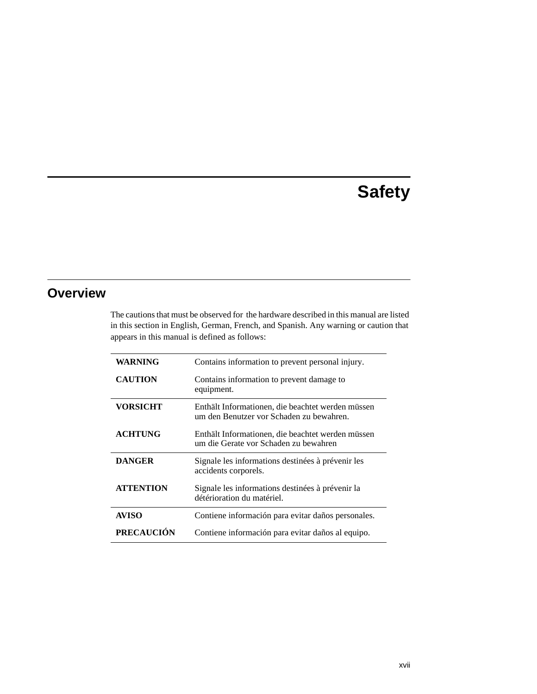# **Safety**

## <span id="page-16-0"></span>**Overview**

The cautions that must be observed for the hardware described in this manual are listed in this section in English, German, French, and Spanish. Any warning or caution that appears in this manual is defined as follows:

| <b>WARNING</b>    | Contains information to prevent personal injury.                                              |
|-------------------|-----------------------------------------------------------------------------------------------|
| <b>CAUTION</b>    | Contains information to prevent damage to<br>equipment.                                       |
| VORSICHT          | Enthält Informationen, die beachtet werden müssen<br>um den Benutzer vor Schaden zu bewahren. |
| <b>ACHTUNG</b>    | Enthält Informationen, die beachtet werden müssen<br>um die Gerate vor Schaden zu bewahren    |
| <b>DANGER</b>     | Signale les informations destinées à prévenir les<br>accidents corporels.                     |
| <b>ATTENTION</b>  | Signale les informations destinées à prévenir la<br>détérioration du matériel.                |
| <b>AVISO</b>      | Contiene información para evitar daños personales.                                            |
| <b>PRECAUCIÓN</b> | Contiene información para evitar daños al equipo.                                             |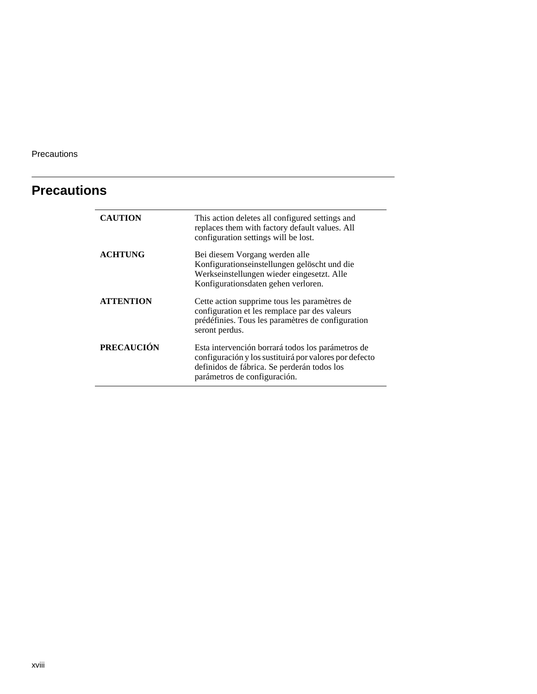<span id="page-17-0"></span>Precautions

# **Precautions**

| <b>CAUTION</b>    | This action deletes all configured settings and<br>replaces them with factory default values. All<br>configuration settings will be lost.                                                  |
|-------------------|--------------------------------------------------------------------------------------------------------------------------------------------------------------------------------------------|
| <b>ACHTUNG</b>    | Bei diesem Vorgang werden alle<br>Konfigurationseinstellungen gelöscht und die<br>Werkseinstellungen wieder eingesetzt. Alle<br>Konfigurationsdaten gehen verloren.                        |
| <b>ATTENTION</b>  | Cette action supprime tous les paramètres de<br>configuration et les remplace par des valeurs<br>prédéfinies. Tous les paramètres de configuration<br>seront perdus.                       |
| <b>PRECAUCIÓN</b> | Esta intervención borrará todos los parámetros de<br>configuración y los sustituirá por valores por defecto<br>definidos de fábrica. Se perderán todos los<br>parámetros de configuración. |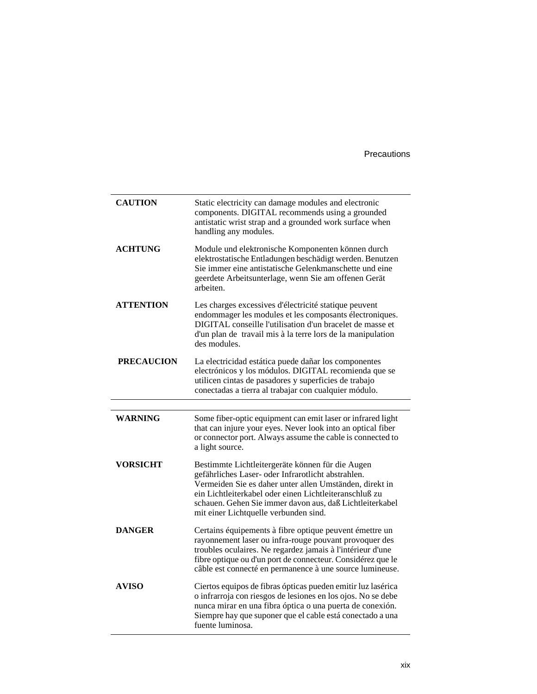Precautions

| <b>CAUTION</b>    | Static electricity can damage modules and electronic<br>components. DIGITAL recommends using a grounded<br>antistatic wrist strap and a grounded work surface when<br>handling any modules.                                                                                                                                      |
|-------------------|----------------------------------------------------------------------------------------------------------------------------------------------------------------------------------------------------------------------------------------------------------------------------------------------------------------------------------|
| <b>ACHTUNG</b>    | Module und elektronische Komponenten können durch<br>elektrostatische Entladungen beschädigt werden. Benutzen<br>Sie immer eine antistatische Gelenkmanschette und eine<br>geerdete Arbeitsunterlage, wenn Sie am offenen Gerät<br>arbeiten.                                                                                     |
| <b>ATTENTION</b>  | Les charges excessives d'électricité statique peuvent<br>endommager les modules et les composants électroniques.<br>DIGITAL conseille l'utilisation d'un bracelet de masse et<br>d'un plan de travail mis à la terre lors de la manipulation<br>des modules.                                                                     |
| <b>PRECAUCION</b> | La electricidad estática puede dañar los componentes<br>electrónicos y los módulos. DIGITAL recomienda que se<br>utilicen cintas de pasadores y superficies de trabajo<br>conectadas a tierra al trabajar con cualquier módulo.                                                                                                  |
|                   |                                                                                                                                                                                                                                                                                                                                  |
| <b>WARNING</b>    | Some fiber-optic equipment can emit laser or infrared light                                                                                                                                                                                                                                                                      |
|                   | that can injure your eyes. Never look into an optical fiber<br>or connector port. Always assume the cable is connected to<br>a light source.                                                                                                                                                                                     |
| <b>VORSICHT</b>   | Bestimmte Lichtleitergeräte können für die Augen<br>gefährliches Laser- oder Infrarotlicht abstrahlen.<br>Vermeiden Sie es daher unter allen Umständen, direkt in<br>ein Lichtleiterkabel oder einen Lichtleiteranschluß zu<br>schauen. Gehen Sie immer davon aus, daß Lichtleiterkabel<br>mit einer Lichtquelle verbunden sind. |
| <b>DANGER</b>     | Certains équipements à fibre optique peuvent émettre un<br>rayonnement laser ou infra-rouge pouvant provoquer des<br>troubles oculaires. Ne regardez jamais à l'intérieur d'une<br>fibre optique ou d'un port de connecteur. Considérez que le<br>câble est connecté en permanence à une source lumineuse.                       |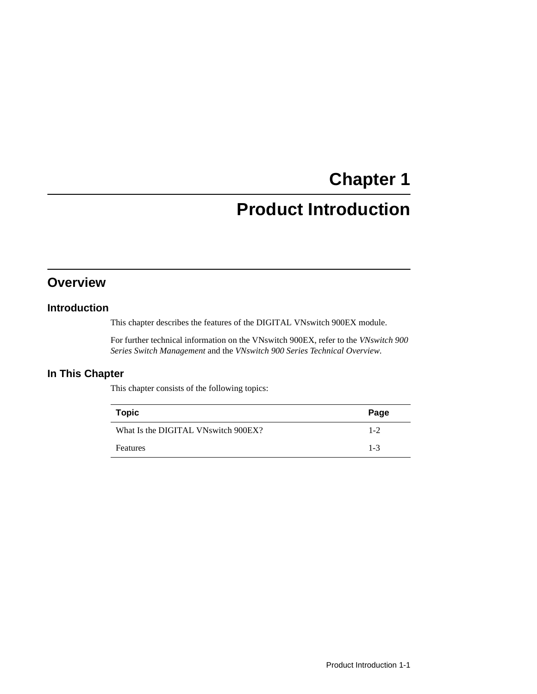# **Chapter 1**

# **Product Introduction**

## <span id="page-20-0"></span>**Overview**

### **Introduction**

This chapter describes the features of the DIGITAL VNswitch 900EX module.

For further technical information on the VNswitch 900EX, refer to the *VNswitch 900 Series Switch Management* and the *VNswitch 900 Series Technical Overview.*

### **In This Chapter**

This chapter consists of the following topics:

| <b>Topic</b>                        | Page    |
|-------------------------------------|---------|
| What Is the DIGITAL VNswitch 900EX? | $1 - 2$ |
| <b>Features</b>                     | $1 - 3$ |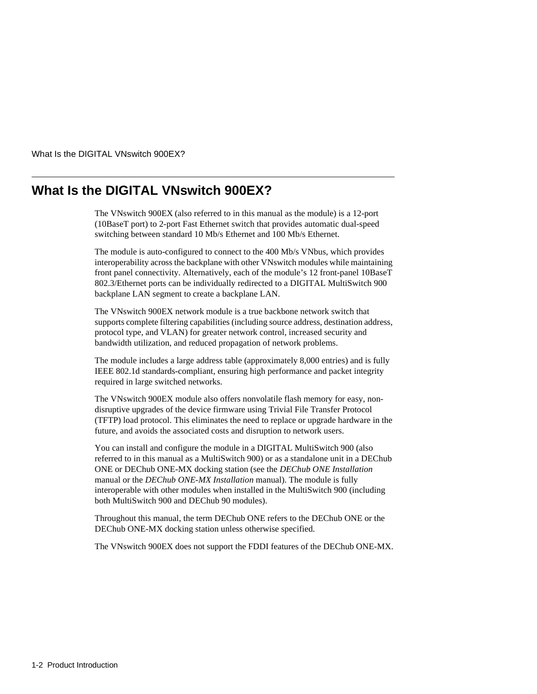<span id="page-21-0"></span>What Is the DIGITAL VNswitch 900EX?

## **What Is the DIGITAL VNswitch 900EX?**

The VNswitch 900EX (also referred to in this manual as the module) is a 12-port (10BaseT port) to 2-port Fast Ethernet switch that provides automatic dual-speed switching between standard 10 Mb/s Ethernet and 100 Mb/s Ethernet.

The module is auto-configured to connect to the 400 Mb/s VNbus, which provides interoperability across the backplane with other VNswitch modules while maintaining front panel connectivity. Alternatively, each of the module's 12 front-panel 10BaseT 802.3/Ethernet ports can be individually redirected to a DIGITAL MultiSwitch 900 backplane LAN segment to create a backplane LAN.

The VNswitch 900EX network module is a true backbone network switch that supports complete filtering capabilities (including source address, destination address, protocol type, and VLAN) for greater network control, increased security and bandwidth utilization, and reduced propagation of network problems.

The module includes a large address table (approximately 8,000 entries) and is fully IEEE 802.1d standards-compliant, ensuring high performance and packet integrity required in large switched networks.

The VNswitch 900EX module also offers nonvolatile flash memory for easy, nondisruptive upgrades of the device firmware using Trivial File Transfer Protocol (TFTP) load protocol. This eliminates the need to replace or upgrade hardware in the future, and avoids the associated costs and disruption to network users.

You can install and configure the module in a DIGITAL MultiSwitch 900 (also referred to in this manual as a MultiSwitch 900) or as a standalone unit in a DEChub ONE or DEChub ONE-MX docking station (see the *DEChub ONE Installation* manual or the *DEChub ONE-MX Installation* manual). The module is fully interoperable with other modules when installed in the MultiSwitch 900 (including both MultiSwitch 900 and DEChub 90 modules).

Throughout this manual, the term DEChub ONE refers to the DEChub ONE or the DEChub ONE-MX docking station unless otherwise specified.

The VNswitch 900EX does not support the FDDI features of the DEChub ONE-MX.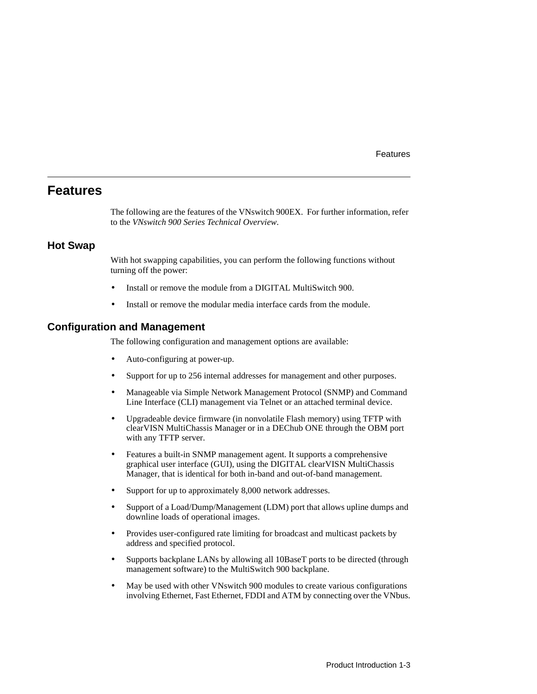#### Features

### <span id="page-22-0"></span>**Features**

The following are the features of the VNswitch 900EX. For further information, refer to the *VNswitch 900 Series Technical Overview*.

#### **Hot Swap**

With hot swapping capabilities, you can perform the following functions without turning off the power:

- Install or remove the module from a DIGITAL MultiSwitch 900.
- Install or remove the modular media interface cards from the module.

#### **Configuration and Management**

The following configuration and management options are available:

- Auto-configuring at power-up.
- Support for up to 256 internal addresses for management and other purposes.
- Manageable via Simple Network Management Protocol (SNMP) and Command Line Interface (CLI) management via Telnet or an attached terminal device.
- Upgradeable device firmware (in nonvolatile Flash memory) using TFTP with clearVISN MultiChassis Manager or in a DEChub ONE through the OBM port with any TFTP server.
- Features a built-in SNMP management agent. It supports a comprehensive graphical user interface (GUI), using the DIGITAL clearVISN MultiChassis Manager, that is identical for both in-band and out-of-band management.
- Support for up to approximately 8,000 network addresses.
- Support of a Load/Dump/Management (LDM) port that allows upline dumps and downline loads of operational images.
- Provides user-configured rate limiting for broadcast and multicast packets by address and specified protocol.
- Supports backplane LANs by allowing all 10BaseT ports to be directed (through management software) to the MultiSwitch 900 backplane.
- May be used with other VNswitch 900 modules to create various configurations involving Ethernet, Fast Ethernet, FDDI and ATM by connecting over the VNbus.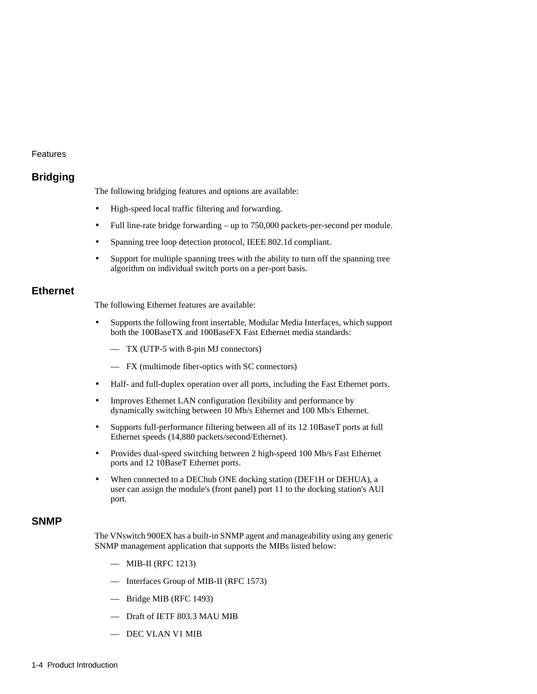#### <span id="page-23-0"></span>Features

### **Bridging**

The following bridging features and options are available:

- High-speed local traffic filtering and forwarding.
- Full line-rate bridge forwarding up to 750,000 packets-per-second per module.
- Spanning tree loop detection protocol, IEEE 802.1d compliant.
- Support for multiple spanning trees with the ability to turn off the spanning tree algorithm on individual switch ports on a per-port basis.

#### **Ethernet**

The following Ethernet features are available:

- Supports the following front insertable, Modular Media Interfaces, which support both the 100BaseTX and 100BaseFX Fast Ethernet media standards:
	- TX (UTP-5 with 8-pin MJ connectors)
	- FX (multimode fiber-optics with SC connectors)
- Half- and full-duplex operation over all ports, including the Fast Ethernet ports.
- Improves Ethernet LAN configuration flexibility and performance by dynamically switching between 10 Mb/s Ethernet and 100 Mb/s Ethernet.
- Supports full-performance filtering between all of its 12 10BaseT ports at full Ethernet speeds (14,880 packets/second/Ethernet).
- Provides dual-speed switching between 2 high-speed 100 Mb/s Fast Ethernet ports and 12 10BaseT Ethernet ports.
- When connected to a DEChub ONE docking station (DEF1H or DEHUA), a user can assign the module's (front panel) port 11 to the docking station's AUI port.

#### **SNMP**

The VNswitch 900EX has a built-in SNMP agent and manageability using any generic SNMP management application that supports the MIBs listed below:

- MIB-II (RFC 1213)
- Interfaces Group of MIB-II (RFC 1573)
- Bridge MIB (RFC 1493)
- Draft of IETF 803.3 MAU MIB
- DEC VLAN V1 MIB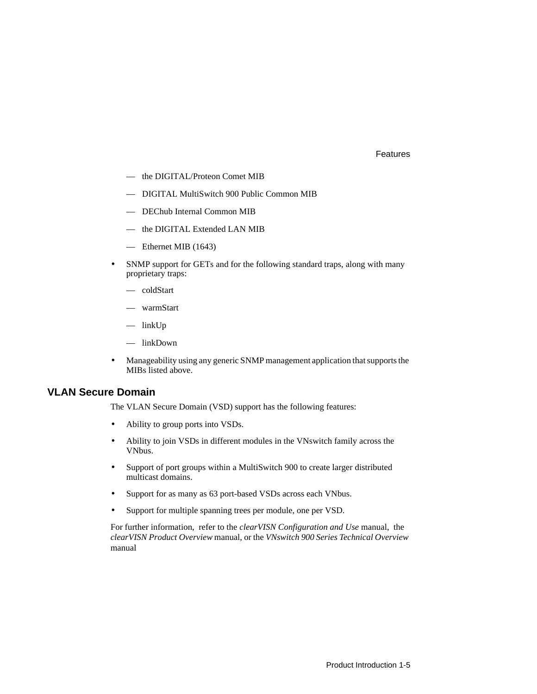#### Features

- <span id="page-24-0"></span>— the DIGITAL/Proteon Comet MIB
- DIGITAL MultiSwitch 900 Public Common MIB
- DEChub Internal Common MIB
- the DIGITAL Extended LAN MIB
- Ethernet MIB (1643)
- SNMP support for GETs and for the following standard traps, along with many proprietary traps:
	- coldStart
	- warmStart
	- linkUp
	- linkDown
- Manageability using any generic SNMP management application that supports the MIBs listed above.

#### **VLAN Secure Domain**

The VLAN Secure Domain (VSD) support has the following features:

- Ability to group ports into VSDs.
- Ability to join VSDs in different modules in the VNswitch family across the VNbus.
- Support of port groups within a MultiSwitch 900 to create larger distributed multicast domains.
- Support for as many as 63 port-based VSDs across each VNbus.
- Support for multiple spanning trees per module, one per VSD.

For further information, refer to the *clearVISN Configuration and Use* manual, the *clearVISN Product Overview* manual, or the *VNswitch 900 Series Technical Overview*  manual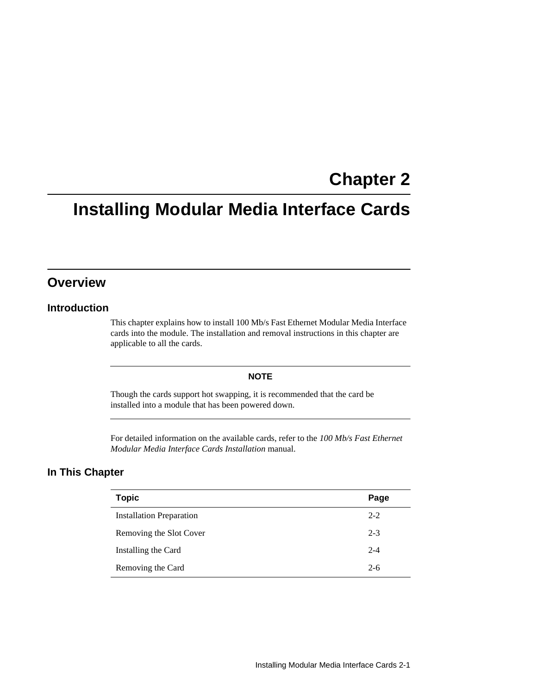# **Chapter 2**

# <span id="page-26-0"></span>**Installing Modular Media Interface Cards**

## **Overview**

### **Introduction**

This chapter explains how to install 100 Mb/s Fast Ethernet Modular Media Interface cards into the module. The installation and removal instructions in this chapter are applicable to all the cards.

#### **NOTE**

Though the cards support hot swapping, it is recommended that the card be installed into a module that has been powered down.

For detailed information on the available cards, refer to the *100 Mb/s Fast Ethernet Modular Media Interface Cards Installation* manual.

### **In This Chapter**

| <b>Topic</b>                    | Page    |
|---------------------------------|---------|
| <b>Installation Preparation</b> | $2 - 2$ |
| Removing the Slot Cover         | $2 - 3$ |
| Installing the Card             | $2 - 4$ |
| Removing the Card               | $2-6$   |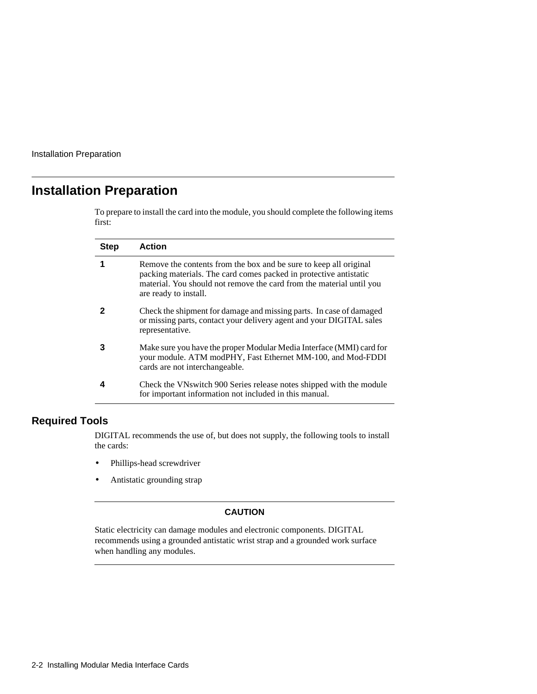<span id="page-27-0"></span>Installation Preparation

## **Installation Preparation**

To prepare to install the card into the module, you should complete the following items first:

| <b>Step</b> | <b>Action</b>                                                                                                                                                                                                                           |
|-------------|-----------------------------------------------------------------------------------------------------------------------------------------------------------------------------------------------------------------------------------------|
| 1           | Remove the contents from the box and be sure to keep all original<br>packing materials. The card comes packed in protective antistatic<br>material. You should not remove the card from the material until you<br>are ready to install. |
|             | Check the shipment for damage and missing parts. In case of damaged<br>or missing parts, contact your delivery agent and your DIGITAL sales<br>representative.                                                                          |
| 3           | Make sure you have the proper Modular Media Interface (MMI) card for<br>your module. ATM modPHY, Fast Ethernet MM-100, and Mod-FDDI<br>cards are not interchangeable.                                                                   |
|             | Check the VNs witch 900 Series release notes shipped with the module<br>for important information not included in this manual.                                                                                                          |

### **Required Tools**

DIGITAL recommends the use of, but does not supply, the following tools to install the cards:

- Phillips-head screwdriver
- Antistatic grounding strap

#### **CAUTION**

Static electricity can damage modules and electronic components. DIGITAL recommends using a grounded antistatic wrist strap and a grounded work surface when handling any modules.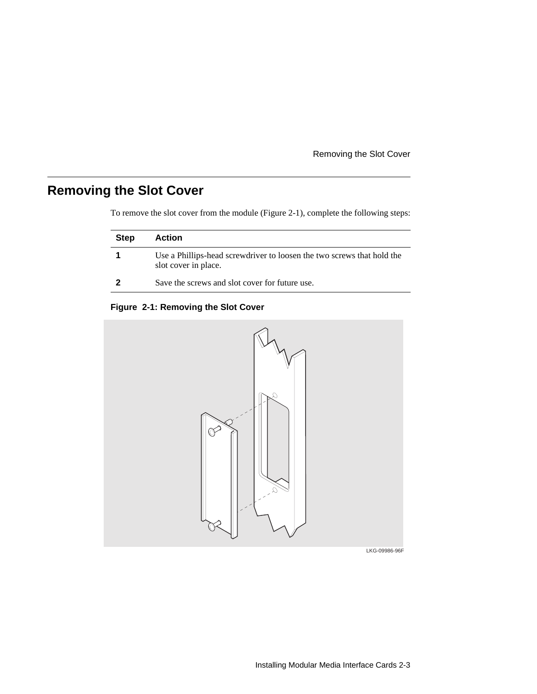Removing the Slot Cover

# <span id="page-28-0"></span>**Removing the Slot Cover**

To remove the slot cover from the module (Figure 2-1), complete the following steps:

| <b>Step</b> | Action                                                                                         |
|-------------|------------------------------------------------------------------------------------------------|
|             | Use a Phillips-head screwdriver to loosen the two screws that hold the<br>slot cover in place. |
| 2           | Save the screws and slot cover for future use.                                                 |

#### **Figure 2-1: Removing the Slot Cover**



LKG-09986-96F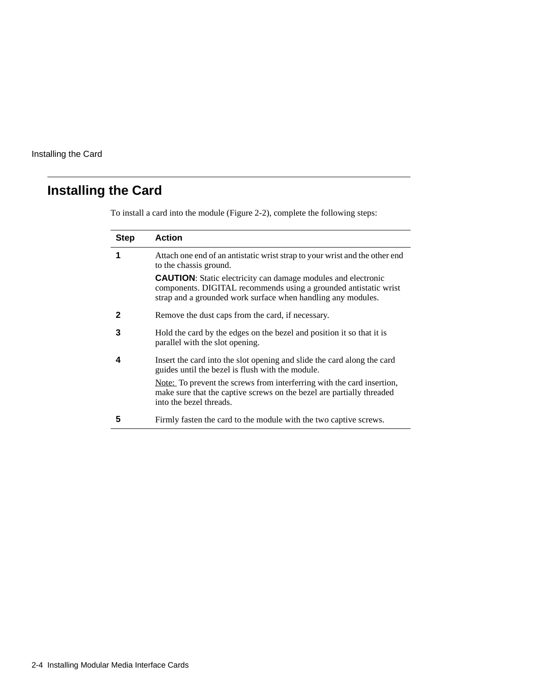# <span id="page-29-0"></span>**Installing the Card**

| Step | <b>Action</b>                                                                                                                                                                                            |
|------|----------------------------------------------------------------------------------------------------------------------------------------------------------------------------------------------------------|
| 1    | Attach one end of an antistatic wrist strap to your wrist and the other end<br>to the chassis ground.                                                                                                    |
|      | <b>CAUTION:</b> Static electricity can damage modules and electronic<br>components. DIGITAL recommends using a grounded antistatic wrist<br>strap and a grounded work surface when handling any modules. |
| 2    | Remove the dust caps from the card, if necessary.                                                                                                                                                        |
| 3    | Hold the card by the edges on the bezel and position it so that it is<br>parallel with the slot opening.                                                                                                 |
| 4    | Insert the card into the slot opening and slide the card along the card<br>guides until the bezel is flush with the module.                                                                              |
|      | Note: To prevent the screws from interferring with the card insertion,<br>make sure that the captive screws on the bezel are partially threaded<br>into the bezel threads.                               |
| 5    | Firmly fasten the card to the module with the two captive screws.                                                                                                                                        |

To install a card into the module ([Figure 2-2\)](#page-30-0), complete the following steps: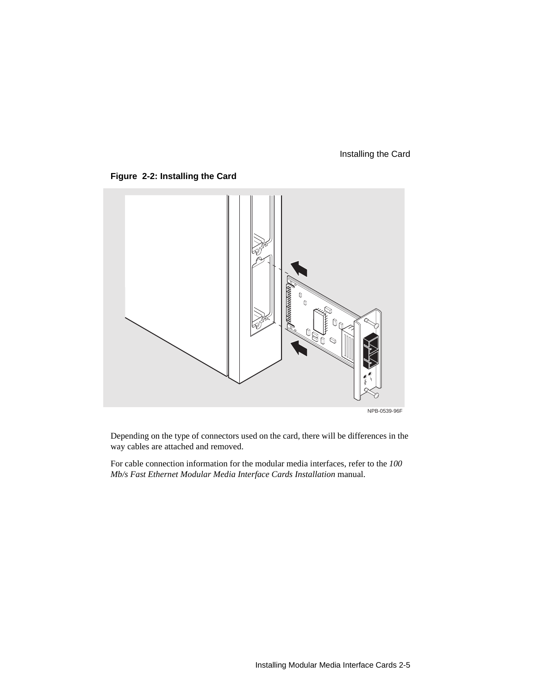#### Installing the Card

<span id="page-30-0"></span>



Depending on the type of connectors used on the card, there will be differences in the way cables are attached and removed.

For cable connection information for the modular media interfaces, refer to the *100 Mb/s Fast Ethernet Modular Media Interface Cards Installation* manual.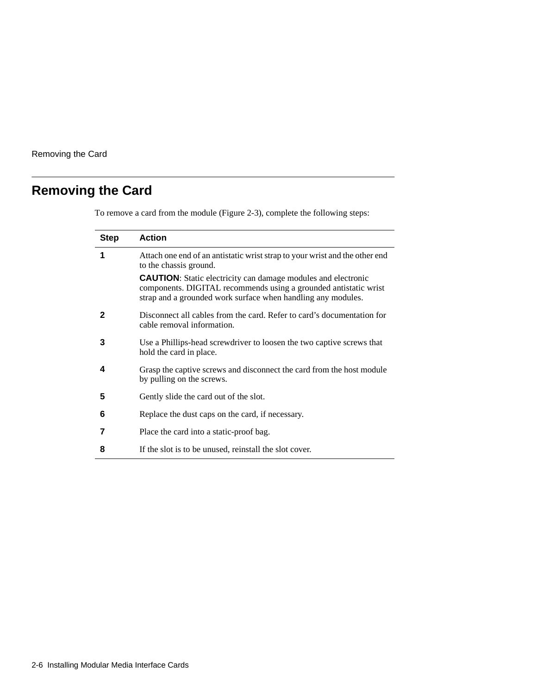<span id="page-31-0"></span>Removing the Card

# **Removing the Card**

To remove a card from the module [\(Figure 2-3](#page-32-0)), complete the following steps:

| <b>Step</b> | <b>Action</b>                                                                                                                                                                                            |
|-------------|----------------------------------------------------------------------------------------------------------------------------------------------------------------------------------------------------------|
| 1           | Attach one end of an antistatic wrist strap to your wrist and the other end<br>to the chassis ground.                                                                                                    |
|             | <b>CAUTION:</b> Static electricity can damage modules and electronic<br>components. DIGITAL recommends using a grounded antistatic wrist<br>strap and a grounded work surface when handling any modules. |
| 2           | Disconnect all cables from the card. Refer to card's documentation for<br>cable removal information.                                                                                                     |
| 3           | Use a Phillips-head screwdriver to loosen the two captive screws that<br>hold the card in place.                                                                                                         |
| 4           | Grasp the captive screws and disconnect the card from the host module<br>by pulling on the screws.                                                                                                       |
| 5           | Gently slide the card out of the slot.                                                                                                                                                                   |
| 6           | Replace the dust caps on the card, if necessary.                                                                                                                                                         |
| 7           | Place the card into a static-proof bag.                                                                                                                                                                  |
| 8           | If the slot is to be unused, reinstall the slot cover.                                                                                                                                                   |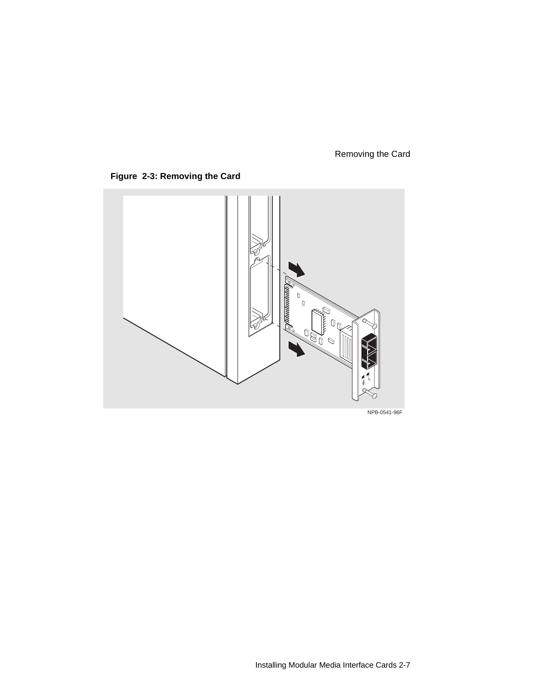### Removing the Card

<span id="page-32-0"></span>



NPB-0541-96F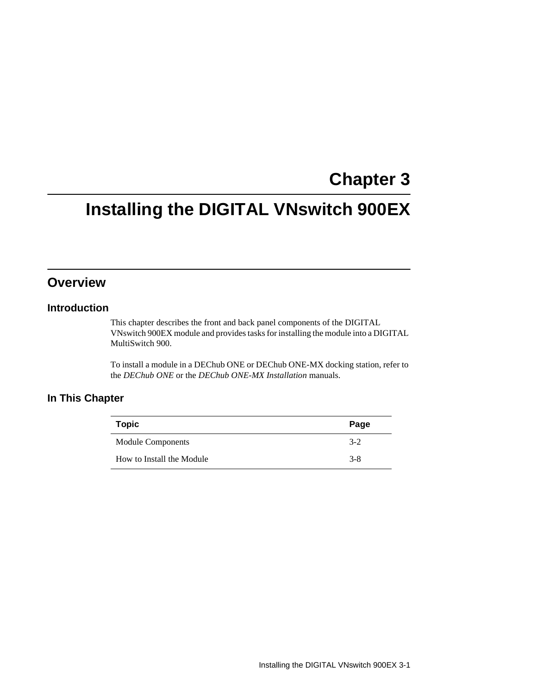# **Chapter 3**

# <span id="page-34-0"></span>**Installing the DIGITAL VNswitch 900EX**

## **Overview**

### **Introduction**

This chapter describes the front and back panel components of the DIGITAL VNswitch 900EX module and provides tasks for installing the module into a DIGITAL MultiSwitch 900.

To install a module in a DEChub ONE or DEChub ONE-MX docking station, refer to the *DEChub ONE* or the *DEChub ONE-MX Installation* manuals.

### **In This Chapter**

| <b>Topic</b>              | Page    |
|---------------------------|---------|
| <b>Module Components</b>  | $3-2$   |
| How to Install the Module | $3 - 8$ |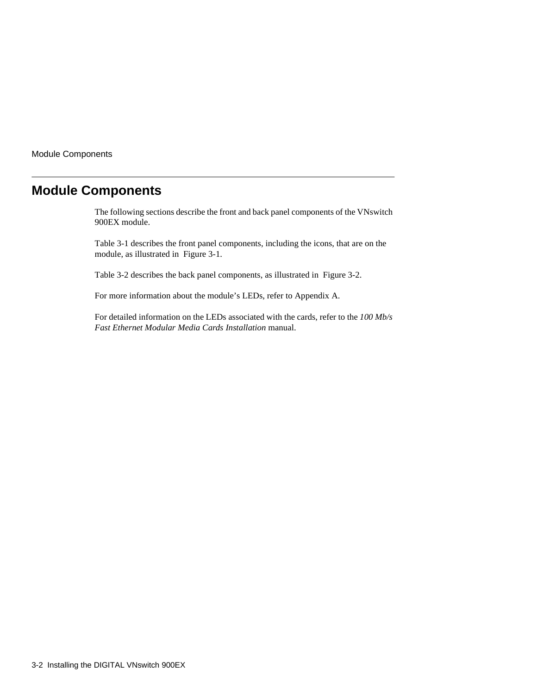<span id="page-35-0"></span>Module Components

## **Module Components**

The following sections describe the front and back panel components of the VNswitch 900EX module.

[Table 3-1](#page-36-0) describes the front panel components, including the icons, that are on the module, as illustrated in [Figure 3-1](#page-38-0).

[Table 3-2](#page-39-0) describes the back panel components, as illustrated in [Figure 3-2](#page-40-0).

For more information about the module's LEDs, refer to Appendix A.

For detailed information on the LEDs associated with the cards, refer to the *100 Mb/s Fast Ethernet Modular Media Cards Installation* manual.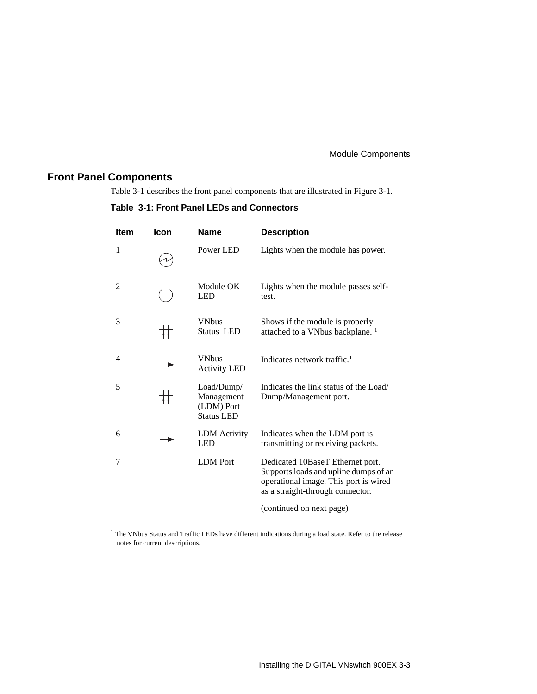### **Front Panel Components**

Table 3-1 describes the front panel components that are illustrated in [Figure 3-1](#page-38-0).

**Table 3-1: Front Panel LEDs and Connectors**

| <b>Item</b>    | Icon | <b>Name</b>                                                 | <b>Description</b>                                                                                                                                     |
|----------------|------|-------------------------------------------------------------|--------------------------------------------------------------------------------------------------------------------------------------------------------|
| 1              |      | Power LED                                                   | Lights when the module has power.                                                                                                                      |
| $\overline{2}$ |      | Module OK<br><b>LED</b>                                     | Lights when the module passes self-<br>test.                                                                                                           |
| 3              |      | <b>VNbus</b><br>Status LED                                  | Shows if the module is properly<br>attached to a VNbus backplane. <sup>1</sup>                                                                         |
| 4              |      | <b>VNbus</b><br><b>Activity LED</b>                         | Indicates network traffic. <sup>1</sup>                                                                                                                |
| 5              |      | Load/Dump/<br>Management<br>(LDM) Port<br><b>Status LED</b> | Indicates the link status of the Load/<br>Dump/Management port.                                                                                        |
| 6              |      | <b>LDM</b> Activity<br><b>LED</b>                           | Indicates when the LDM port is<br>transmitting or receiving packets.                                                                                   |
| 7              |      | <b>LDM</b> Port                                             | Dedicated 10BaseT Ethernet port.<br>Supports loads and upline dumps of an<br>operational image. This port is wired<br>as a straight-through connector. |

(continued on next page)

<sup>1</sup> The VNbus Status and Traffic LEDs have different indications during a load state. Refer to the release notes for current descriptions.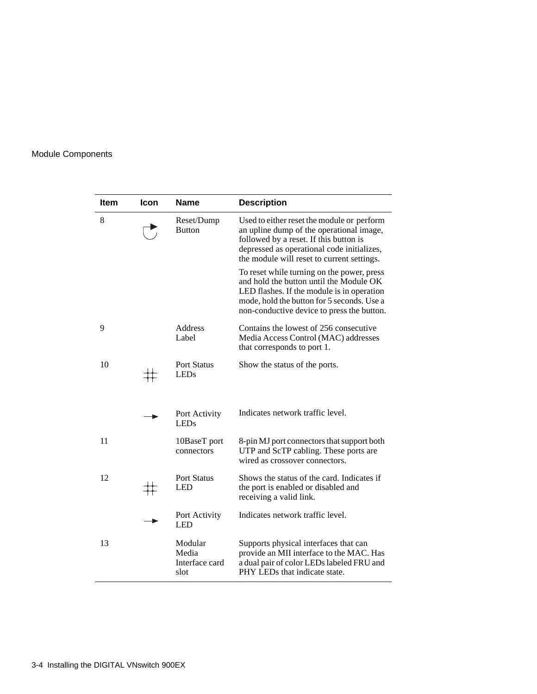| <b>Item</b> | Icon | <b>Name</b>                                | <b>Description</b>                                                                                                                                                                                                              |
|-------------|------|--------------------------------------------|---------------------------------------------------------------------------------------------------------------------------------------------------------------------------------------------------------------------------------|
| 8           |      | Reset/Dump<br><b>Button</b>                | Used to either reset the module or perform<br>an upline dump of the operational image,<br>followed by a reset. If this button is<br>depressed as operational code initializes,<br>the module will reset to current settings.    |
|             |      |                                            | To reset while turning on the power, press<br>and hold the button until the Module OK<br>LED flashes. If the module is in operation<br>mode, hold the button for 5 seconds. Use a<br>non-conductive device to press the button. |
| 9           |      | Address<br>Label                           | Contains the lowest of 256 consecutive<br>Media Access Control (MAC) addresses<br>that corresponds to port 1.                                                                                                                   |
| 10          |      | <b>Port Status</b><br><b>LEDs</b>          | Show the status of the ports.                                                                                                                                                                                                   |
|             |      | Port Activity<br><b>LEDs</b>               | Indicates network traffic level.                                                                                                                                                                                                |
| 11          |      | 10BaseT port<br>connectors                 | 8-pin MJ port connectors that support both<br>UTP and ScTP cabling. These ports are<br>wired as crossover connectors.                                                                                                           |
| 12          |      | <b>Port Status</b><br><b>LED</b>           | Shows the status of the card. Indicates if<br>the port is enabled or disabled and<br>receiving a valid link.                                                                                                                    |
|             |      | Port Activity<br>LED                       | Indicates network traffic level.                                                                                                                                                                                                |
| 13          |      | Modular<br>Media<br>Interface card<br>slot | Supports physical interfaces that can<br>provide an MII interface to the MAC. Has<br>a dual pair of color LEDs labeled FRU and<br>PHY LEDs that indicate state.                                                                 |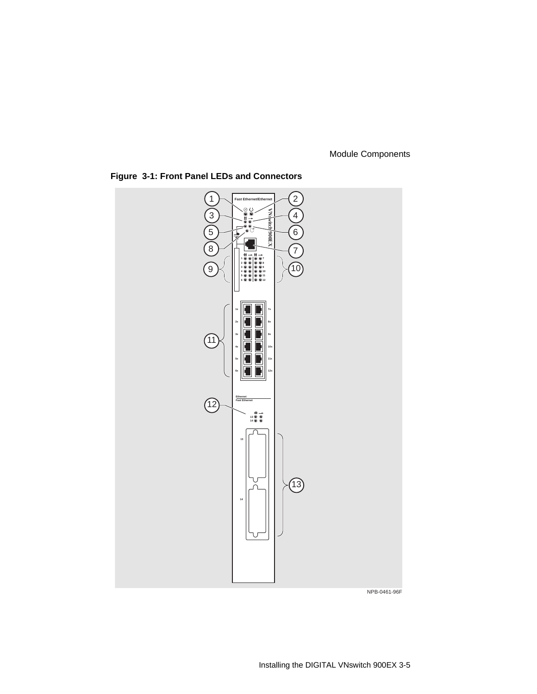

<span id="page-38-0"></span>**Figure 3-1: Front Panel LEDs and Connectors**

NPB-0461-96F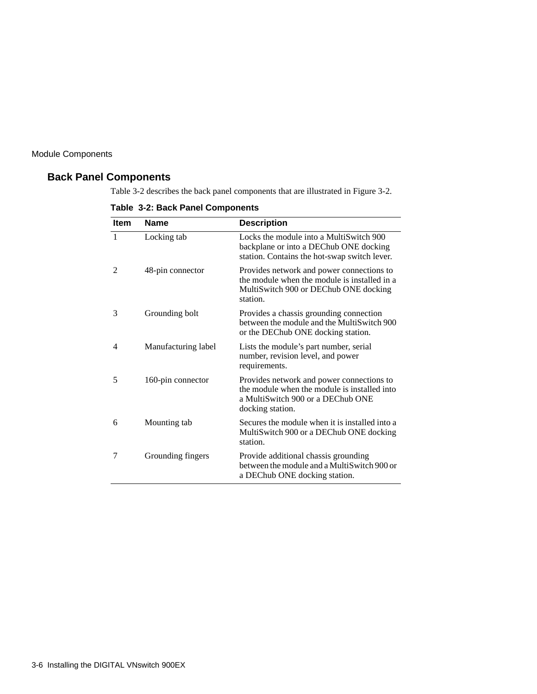### **Back Panel Components**

Table 3-2 describes the back panel components that are illustrated in [Figure 3-2.](#page-40-0)

|  |  |  |  | Table 3-2: Back Panel Components |
|--|--|--|--|----------------------------------|
|--|--|--|--|----------------------------------|

| <b>Item</b>                 | <b>Name</b>         | <b>Description</b>                                                                                                                                 |
|-----------------------------|---------------------|----------------------------------------------------------------------------------------------------------------------------------------------------|
| $\mathbf{1}$                | Locking tab         | Locks the module into a MultiSwitch 900<br>backplane or into a DEChub ONE docking<br>station. Contains the hot-swap switch lever.                  |
| $\mathcal{D}_{\mathcal{L}}$ | 48-pin connector    | Provides network and power connections to<br>the module when the module is installed in a<br>MultiSwitch 900 or DEChub ONE docking<br>station.     |
| 3                           | Grounding bolt      | Provides a chassis grounding connection<br>between the module and the MultiSwitch 900<br>or the DEChub ONE docking station.                        |
| 4                           | Manufacturing label | Lists the module's part number, serial<br>number, revision level, and power<br>requirements.                                                       |
| 5                           | 160-pin connector   | Provides network and power connections to<br>the module when the module is installed into<br>a MultiSwitch 900 or a DEChub ONE<br>docking station. |
| 6                           | Mounting tab        | Secures the module when it is installed into a<br>MultiSwitch 900 or a DEChub ONE docking<br>station.                                              |
| 7                           | Grounding fingers   | Provide additional chassis grounding<br>between the module and a MultiSwitch 900 or<br>a DEChub ONE docking station.                               |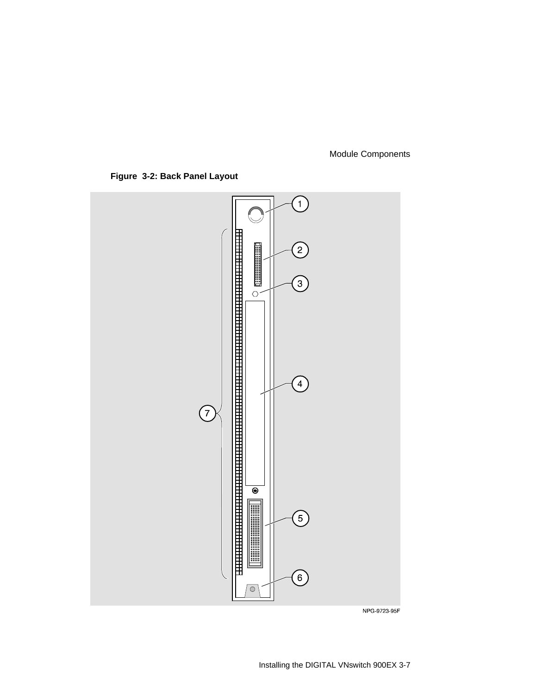<span id="page-40-0"></span>**Figure 3-2: Back Panel Layout**



NPG-9723-95F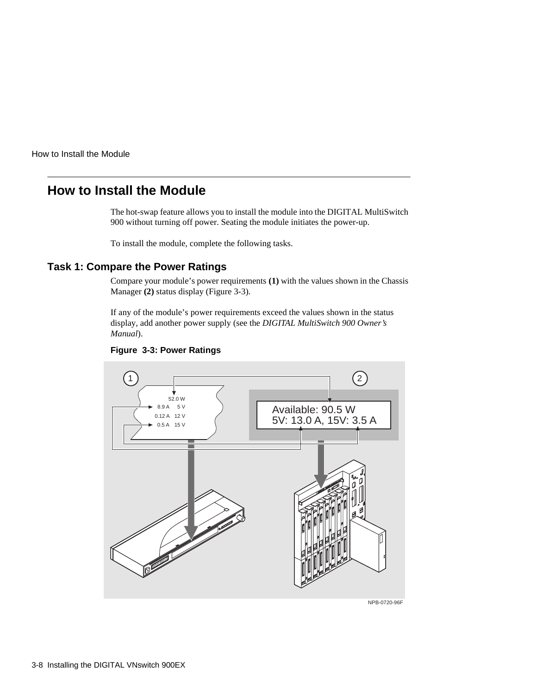# **How to Install the Module**

The hot-swap feature allows you to install the module into the DIGITAL MultiSwitch 900 without turning off power. Seating the module initiates the power-up.

To install the module, complete the following tasks.

### **Task 1: Compare the Power Ratings**

Compare your module's power requirements **(1)** with the values shown in the Chassis Manager **(2)** status display (Figure 3-3).

If any of the module's power requirements exceed the values shown in the status display, add another power supply (see the *DIGITAL MultiSwitch 900 Owner's Manual*).



#### **Figure 3-3: Power Ratings**

NPB-0720-96F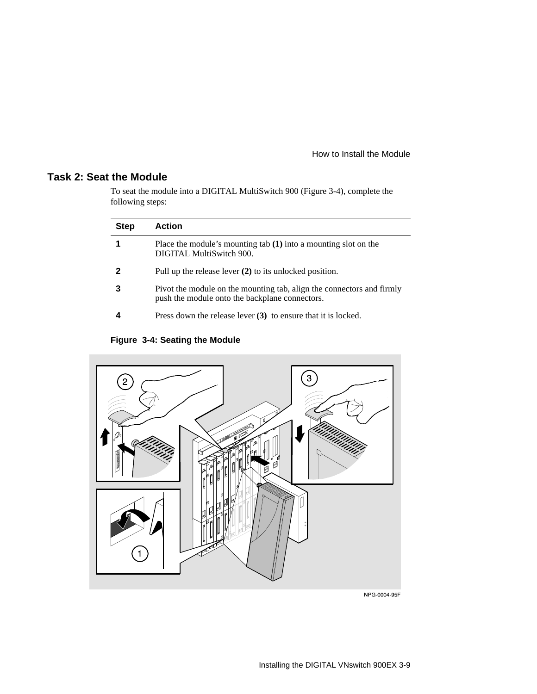### **Task 2: Seat the Module**

To seat the module into a DIGITAL MultiSwitch 900 (Figure 3-4), complete the following steps:

| <b>Step</b> | <b>Action</b>                                                                                                           |
|-------------|-------------------------------------------------------------------------------------------------------------------------|
|             | Place the module's mounting tab $(1)$ into a mounting slot on the<br>DIGITAL MultiSwitch 900.                           |
|             | Pull up the release lever $(2)$ to its unlocked position.                                                               |
|             | Pivot the module on the mounting tab, align the connectors and firmly<br>push the module onto the backplane connectors. |
|             | Press down the release lever $(3)$ to ensure that it is locked.                                                         |

**Figure 3-4: Seating the Module**



NPG-0004-95F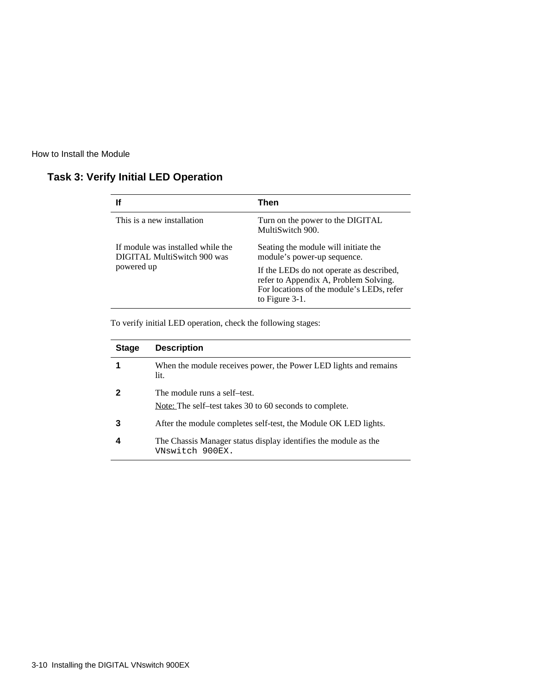| lf                                                               | Then                                                                                                                                             |  |
|------------------------------------------------------------------|--------------------------------------------------------------------------------------------------------------------------------------------------|--|
| This is a new installation                                       | Turn on the power to the DIGITAL<br>MultiSwitch 900.                                                                                             |  |
| If module was installed while the<br>DIGITAL MultiSwitch 900 was | Seating the module will initiate the<br>module's power-up sequence.                                                                              |  |
| powered up                                                       | If the LEDs do not operate as described,<br>refer to Appendix A, Problem Solving.<br>For locations of the module's LEDs, refer<br>to Figure 3-1. |  |

### **Task 3: Verify Initial LED Operation**

To verify initial LED operation, check the following stages:

| <b>Stage</b> | <b>Description</b>                                                                      |
|--------------|-----------------------------------------------------------------------------------------|
|              | When the module receives power, the Power LED lights and remains<br>lit.                |
|              | The module runs a self-test.<br>Note: The self-test takes 30 to 60 seconds to complete. |
| З            | After the module completes self-test, the Module OK LED lights.                         |
|              | The Chassis Manager status display identifies the module as the<br>VNswitch 900EX.      |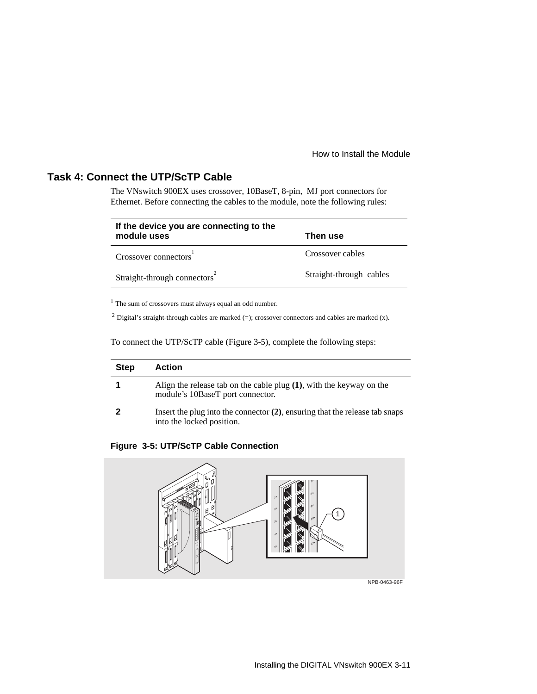#### **Task 4: Connect the UTP/ScTP Cable**

The VNswitch 900EX uses crossover, 10BaseT, 8-pin, MJ port connectors for Ethernet. Before connecting the cables to the module, note the following rules:

| If the device you are connecting to the<br>module uses | Then use                |
|--------------------------------------------------------|-------------------------|
| Crossover connectors <sup>1</sup>                      | Crossover cables        |
| Straight-through connectors                            | Straight-through cables |

<sup>1</sup> The sum of crossovers must always equal an odd number.

<sup>2</sup> Digital's straight-through cables are marked (=); crossover connectors and cables are marked (x).

To connect the UTP/ScTP cable (Figure 3-5), complete the following steps:

| <b>Step</b> | <b>Action</b>                                                                                               |
|-------------|-------------------------------------------------------------------------------------------------------------|
|             | Align the release tab on the cable plug $(1)$ , with the keyway on the<br>module's 10BaseT port connector.  |
|             | Insert the plug into the connector $(2)$ , ensuring that the release tab snaps<br>into the locked position. |

#### **Figure 3-5: UTP/ScTP Cable Connection**



NPB-0463-96F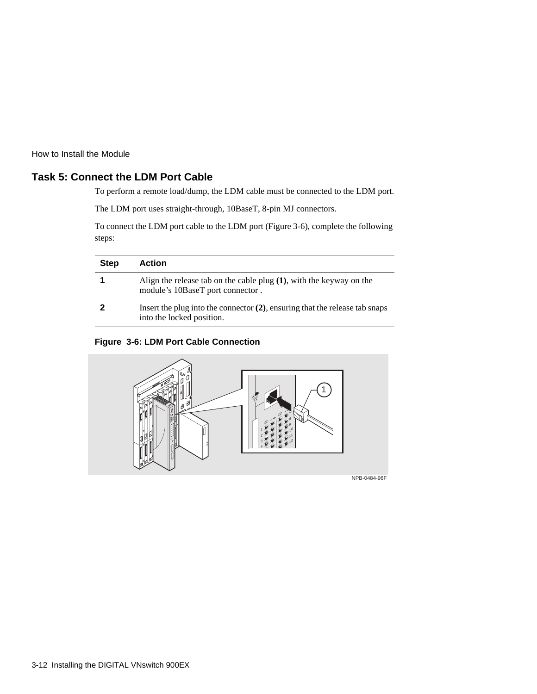### **Task 5: Connect the LDM Port Cable**

To perform a remote load/dump, the LDM cable must be connected to the LDM port.

The LDM port uses straight-through, 10BaseT, 8-pin MJ connectors.

To connect the LDM port cable to the LDM port (Figure 3-6), complete the following steps:

| <b>Step</b> | Action                                                                                                      |
|-------------|-------------------------------------------------------------------------------------------------------------|
|             | Align the release tab on the cable plug $(1)$ , with the keyway on the<br>module's 10BaseT port connector.  |
|             | Insert the plug into the connector $(2)$ , ensuring that the release tab snaps<br>into the locked position. |

**Figure 3-6: LDM Port Cable Connection**



3-12 Installing the DIGITAL VNswitch 900EX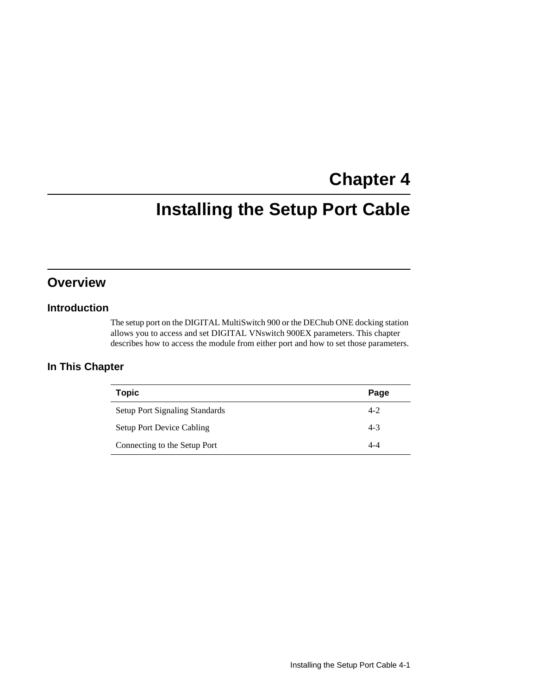# **Chapter 4**

# **Installing the Setup Port Cable**

# **Overview**

#### **Introduction**

The setup port on the DIGITAL MultiSwitch 900 or the DEChub ONE docking station allows you to access and set DIGITAL VNswitch 900EX parameters. This chapter describes how to access the module from either port and how to set those parameters.

### **In This Chapter**

| <b>Topic</b>                          | Page    |
|---------------------------------------|---------|
| <b>Setup Port Signaling Standards</b> | $4 - 2$ |
| <b>Setup Port Device Cabling</b>      | $4 - 3$ |
| Connecting to the Setup Port          | 4-4     |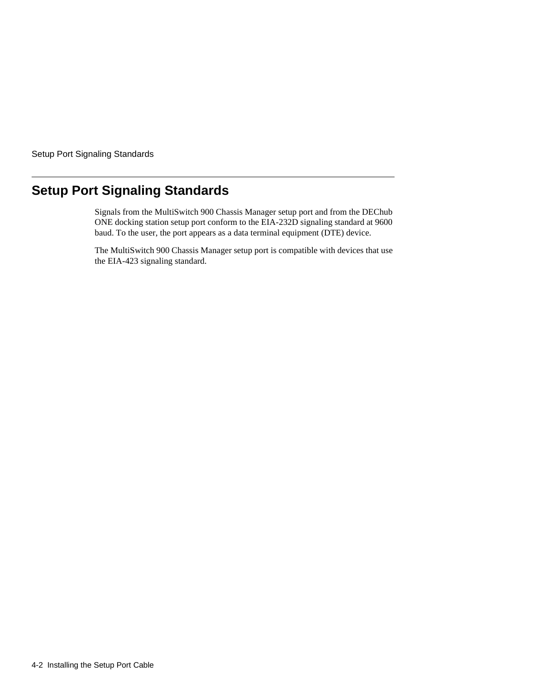<span id="page-47-0"></span>Setup Port Signaling Standards

# **Setup Port Signaling Standards**

Signals from the MultiSwitch 900 Chassis Manager setup port and from the DEChub ONE docking station setup port conform to the EIA-232D signaling standard at 9600 baud. To the user, the port appears as a data terminal equipment (DTE) device.

The MultiSwitch 900 Chassis Manager setup port is compatible with devices that use the EIA-423 signaling standard.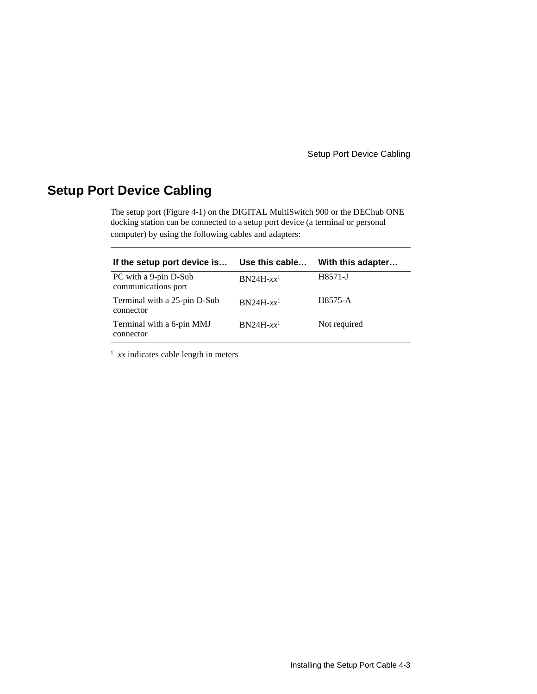Setup Port Device Cabling

# <span id="page-48-0"></span>**Setup Port Device Cabling**

The setup port ([Figure 4-1\)](#page-50-0) on the DIGITAL MultiSwitch 900 or the DEChub ONE docking station can be connected to a setup port device (a terminal or personal computer) by using the following cables and adapters:

| If the setup port device is                  | Use this cable          | With this adapter |
|----------------------------------------------|-------------------------|-------------------|
| PC with a 9-pin D-Sub<br>communications port | $BN24H-xx$ <sup>1</sup> | H8571-J           |
| Terminal with a 25-pin D-Sub<br>connector    | $BN24H-xx$ <sup>1</sup> | H8575-A           |
| Terminal with a 6-pin MMJ<br>connector       | $BN24H-xx$ <sup>1</sup> | Not required      |

<sup>1</sup> xx indicates cable length in meters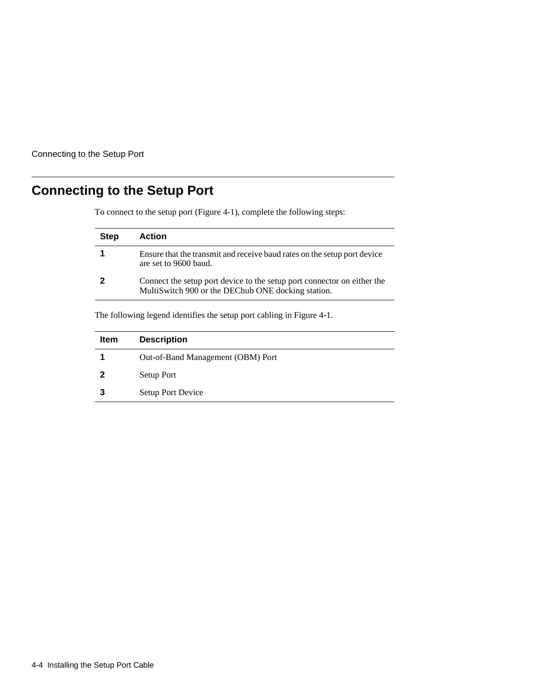<span id="page-49-0"></span>Connecting to the Setup Port

# **Connecting to the Setup Port**

To connect to the setup port ([Figure 4-1\)](#page-50-0), complete the following steps:

| <b>Step</b> | Action                                                                                                                        |
|-------------|-------------------------------------------------------------------------------------------------------------------------------|
|             | Ensure that the transmit and receive baud rates on the setup port device<br>are set to 9600 baud.                             |
|             | Connect the setup port device to the setup port connector on either the<br>MultiSwitch 900 or the DEChub ONE docking station. |
|             |                                                                                                                               |

The following legend identifies the setup port cabling in [Figure 4-1](#page-50-0).

| <b>Item</b> | <b>Description</b>                |
|-------------|-----------------------------------|
|             | Out-of-Band Management (OBM) Port |
|             | Setup Port                        |
|             | Setup Port Device                 |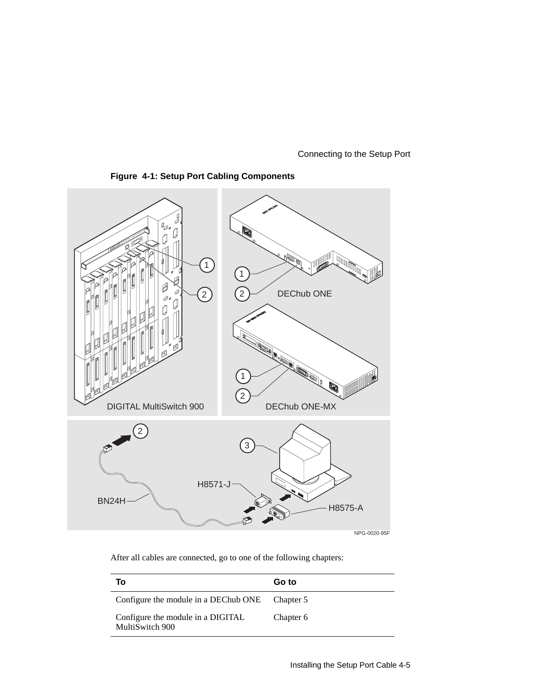Connecting to the Setup Port

<span id="page-50-0"></span>



After all cables are connected, go to one of the following chapters:

| Τo                                                   | Go to     |
|------------------------------------------------------|-----------|
| Configure the module in a DEChub ONE                 | Chapter 5 |
| Configure the module in a DIGITAL<br>MultiSwitch 900 | Chapter 6 |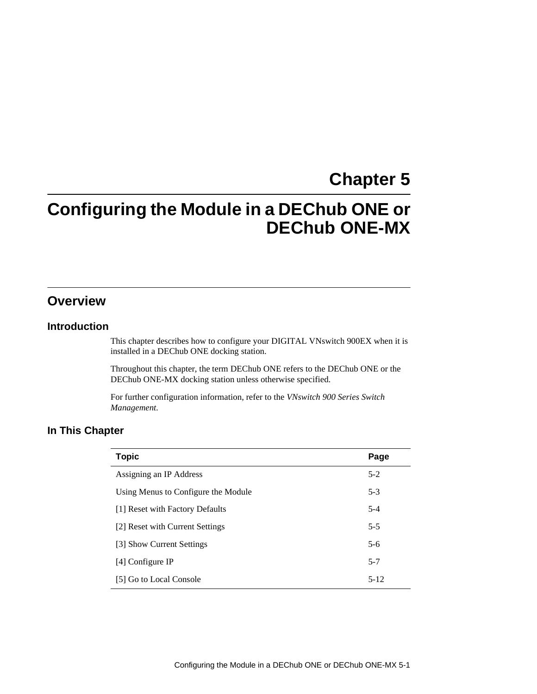# **Chapter 5**

# **Configuring the Module in a DEChub ONE or DEChub ONE-MX**

## **Overview**

#### **Introduction**

This chapter describes how to configure your DIGITAL VNswitch 900EX when it is installed in a DEChub ONE docking station.

Throughout this chapter, the term DEChub ONE refers to the DEChub ONE or the DEChub ONE-MX docking station unless otherwise specified.

For further configuration information, refer to the *VNswitch 900 Series Switch Management.*

#### **In This Chapter**

| <b>Topic</b>                        | Page     |
|-------------------------------------|----------|
| Assigning an IP Address             | $5-2$    |
| Using Menus to Configure the Module | $5-3$    |
| [1] Reset with Factory Defaults     | $5 - 4$  |
| [2] Reset with Current Settings     | $5 - 5$  |
| [3] Show Current Settings           | 5-6      |
| [4] Configure IP                    | $5 - 7$  |
| [5] Go to Local Console             | $5 - 12$ |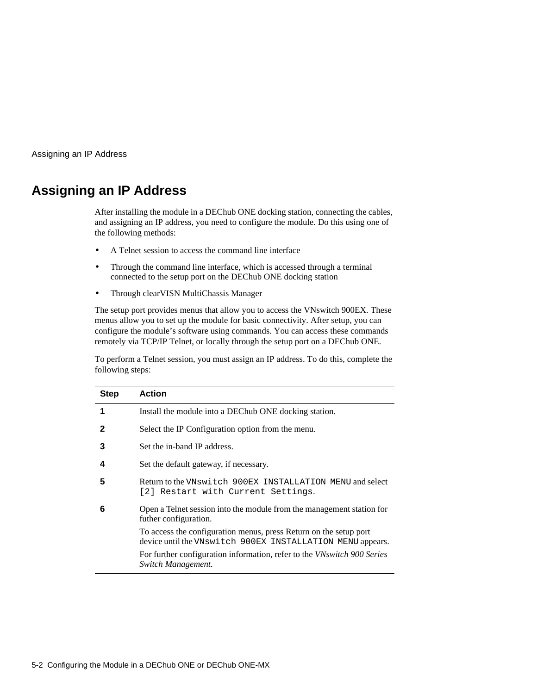<span id="page-53-0"></span>Assigning an IP Address

# **Assigning an IP Address**

After installing the module in a DEChub ONE docking station, connecting the cables, and assigning an IP address, you need to configure the module. Do this using one of the following methods:

- A Telnet session to access the command line interface
- Through the command line interface, which is accessed through a terminal connected to the setup port on the DEChub ONE docking station
- Through clearVISN MultiChassis Manager

The setup port provides menus that allow you to access the VNswitch 900EX. These menus allow you to set up the module for basic connectivity. After setup, you can configure the module's software using commands. You can access these commands remotely via TCP/IP Telnet, or locally through the setup port on a DEChub ONE.

To perform a Telnet session, you must assign an IP address. To do this, complete the following steps:

| <b>Step</b> | <b>Action</b>                                                                                                                   |
|-------------|---------------------------------------------------------------------------------------------------------------------------------|
| 1           | Install the module into a DEChub ONE docking station.                                                                           |
| 2           | Select the IP Configuration option from the menu.                                                                               |
| 3           | Set the in-band IP address.                                                                                                     |
| 4           | Set the default gateway, if necessary.                                                                                          |
| 5           | Return to the VNswitch 900EX INSTALLATION MENU and select<br>[2] Restart with Current Settings.                                 |
| 6           | Open a Telnet session into the module from the management station for<br>futher configuration.                                  |
|             | To access the configuration menus, press Return on the setup port<br>device until the VNswitch 900EX INSTALLATION MENU appears. |
|             | For further configuration information, refer to the <i>VNswitch</i> 900 Series<br>Switch Management.                            |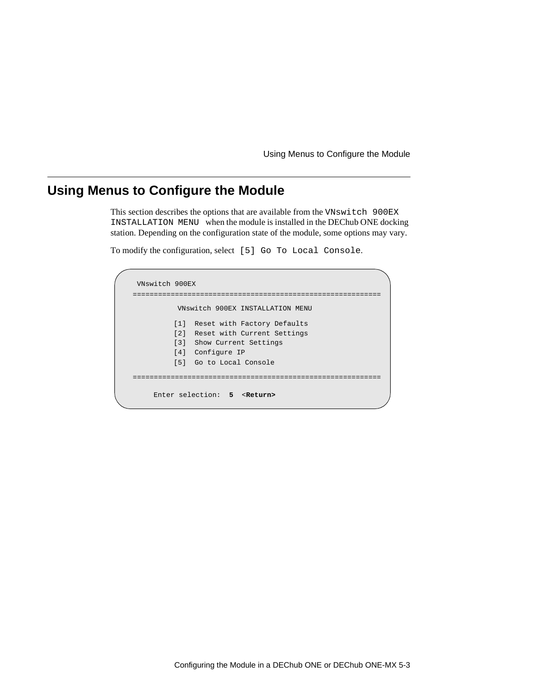Using Menus to Configure the Module

# <span id="page-54-0"></span>**Using Menus to Configure the Module**

This section describes the options that are available from the VNswitch 900EX INSTALLATION MENU when the module is installed in the DEChub ONE docking station. Depending on the configuration state of the module, some options may vary.

To modify the configuration, select [5] Go To Local Console.

| VNswitch 900EX |                                      |  |
|----------------|--------------------------------------|--|
|                | VNswitch 900EX INSTALLATION MENU     |  |
|                | [1] Reset with Factory Defaults      |  |
|                | [2] Reset with Current Settings      |  |
|                | [3] Show Current Settings            |  |
|                | [4] Configure IP                     |  |
|                | [5] Go to Local Console              |  |
|                |                                      |  |
|                |                                      |  |
|                | Enter selection: 5 <return></return> |  |
|                |                                      |  |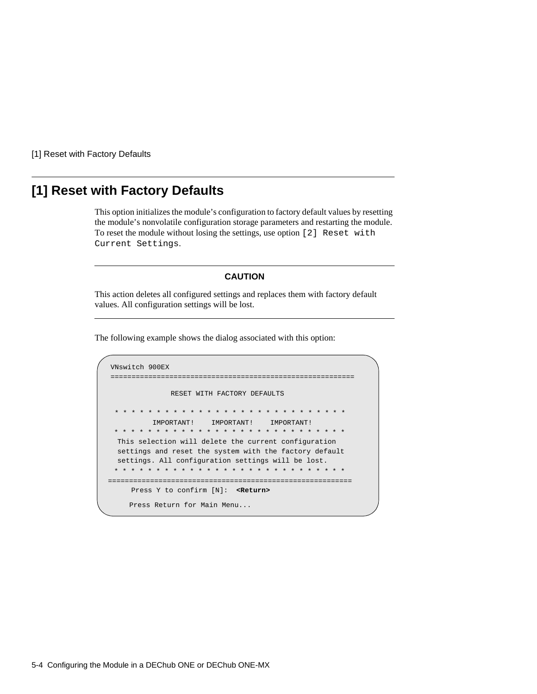<span id="page-55-0"></span>[1] Reset with Factory Defaults

# **[1] Reset with Factory Defaults**

This option initializes the module's configuration to factory default values by resetting the module's nonvolatile configuration storage parameters and restarting the module. To reset the module without losing the settings, use option [2] Reset with Current Settings.

#### **CAUTION**

This action deletes all configured settings and replaces them with factory default values. All configuration settings will be lost.

```
VNswitch 900EX 
==========================================================
                RESET WITH FACTORY DEFAULTS 
 * * * * * * * * * * * * * * * * * * * * * * * * * *
* * 
           IMPORTANT! IMPORTANT! IMPORTANT! 
  This selection will delete the current configuration 
  settings and reset the system with the factory default 
  settings. All configuration settings will be lost. 
==========================================================
     Press Y to confirm [N]: <Return>
    Press Return for Main Menu...
    * * * * * * * * * * * * * * * * * * * * * * * * * * * * 
  * * * * * * * * * * * * * * * * * * * * * * * * * * * *
```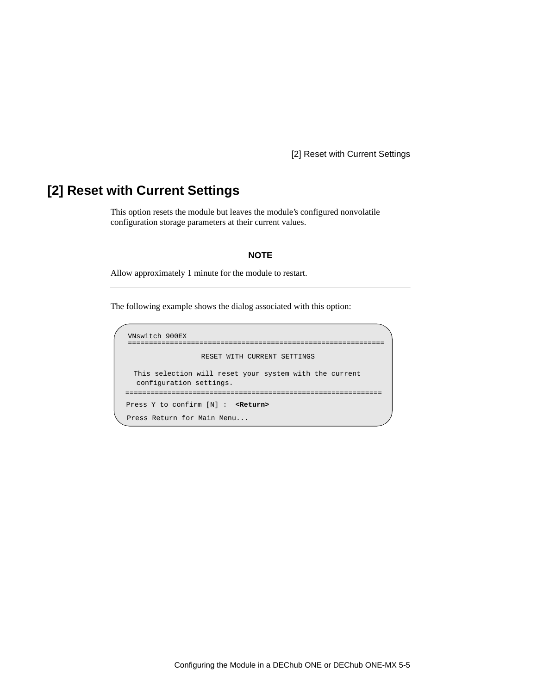[2] Reset with Current Settings

# <span id="page-56-0"></span>**[2] Reset with Current Settings**

This option resets the module but leaves the module's configured nonvolatile configuration storage parameters at their current values.

#### **NOTE**

Allow approximately 1 minute for the module to restart.

```
VNswitch 900EX 
=============================================================
                   RESET WITH CURRENT SETTINGS
  This selection will reset your system with the current 
  configuration settings. 
=============================================================
Press Y to confirm [N] : <Return>
Press Return for Main Menu...
```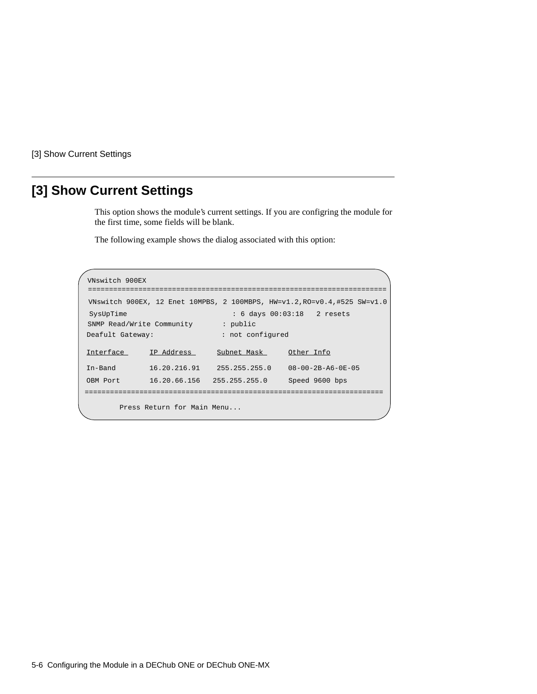<span id="page-57-0"></span>[3] Show Current Settings

# **[3] Show Current Settings**

This option shows the module's current settings. If you are configring the module for the first time, some fields will be blank.

```
VNswitch 900EX 
=======================================================================
 VNswitch 900EX, 12 Enet 10MPBS, 2 100MBPS, HW=v1.2,RO=v0.4,#525 SW=v1.0
SysUpTime : 6 days 00:03:18 2 resets
 SNMP Read/Write Community : public
Interface IP Address Subnet Mask Other Info
In-Band 16.20.216.91 255.255.255.0 08-00-2B-A6-0E-05
OBM Port 16.20.66.156 255.255.255.0 Speed 9600 bps 
       Press Return for Main Menu...
=======================================================================
Deafult Gateway: : not configured
```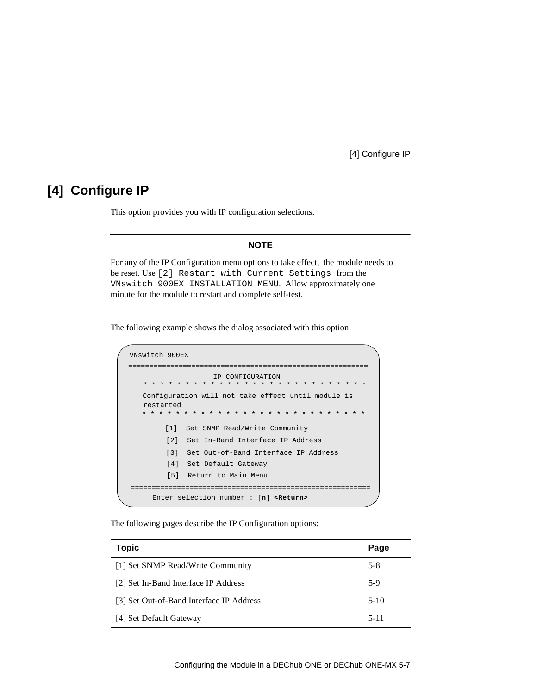### <span id="page-58-0"></span>**[4] Configure IP**

This option provides you with IP configuration selections.

#### **NOTE**

For any of the IP Configuration menu options to take effect, the module needs to be reset. Use [2] Restart with Current Settings from the VNswitch 900EX INSTALLATION MENU. Allow approximately one minute for the module to restart and complete self-test.

The following example shows the dialog associated with this option:

```
VNswitch 900EX 
=========================================================
                   IP CONFIGURATION
        [1] Set SNMP Read/Write Community
        [2] Set In-Band Interface IP Address
        [4] Set Default Gateway
        [5] Return to Main Menu
     Enter selection number : [n] <Return>
        [3] Set Out-of-Band Interface IP Address
   * * * * * * * * * * * * * * * * * * * * * * * * * * * 
  Configuration will not take effect until module is 
  restarted
   * * * * * * * * * * * * * * * * * * * * * * * * * * * 
=========================================================
```
The following pages describe the IP Configuration options:

| <b>Topic</b>                             | Page     |
|------------------------------------------|----------|
| [1] Set SNMP Read/Write Community        | $5-8$    |
| [2] Set In-Band Interface IP Address     | $5-9$    |
| [3] Set Out-of-Band Interface IP Address | $5-10$   |
| [4] Set Default Gateway                  | $5 - 11$ |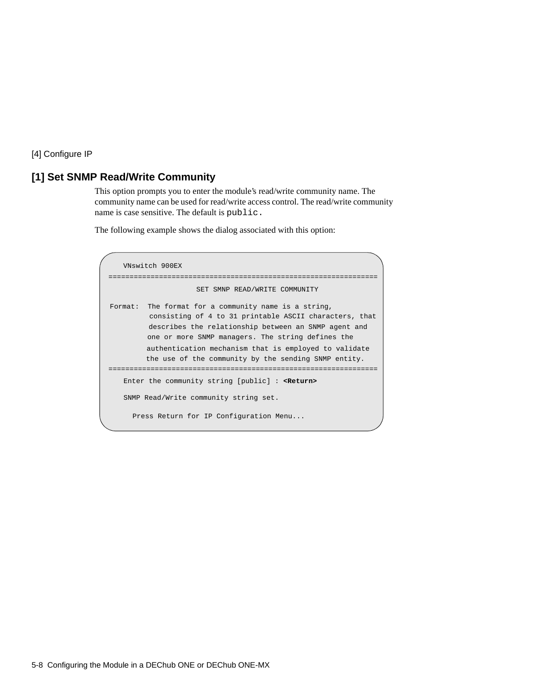### <span id="page-59-0"></span>**[1] Set SNMP Read/Write Community**

This option prompts you to enter the module's read/write community name. The community name can be used for read/write access control. The read/write community name is case sensitive. The default is public.

```
 VNswitch 900EX 
================================================================
                      SET SMNP READ/WRITE COMMUNITY
Format: The format for a community name is a string,
          consisting of 4 to 31 printable ASCII characters, that
          describes the relationship between an SNMP agent and
          one or more SNMP managers. The string defines the
          authentication mechanism that is employed to validate
         the use of the community by the sending SNMP entity.
================================================================
   Enter the community string [public] : <Return>
   SNMP Read/Write community string set.
     Press Return for IP Configuration Menu...
```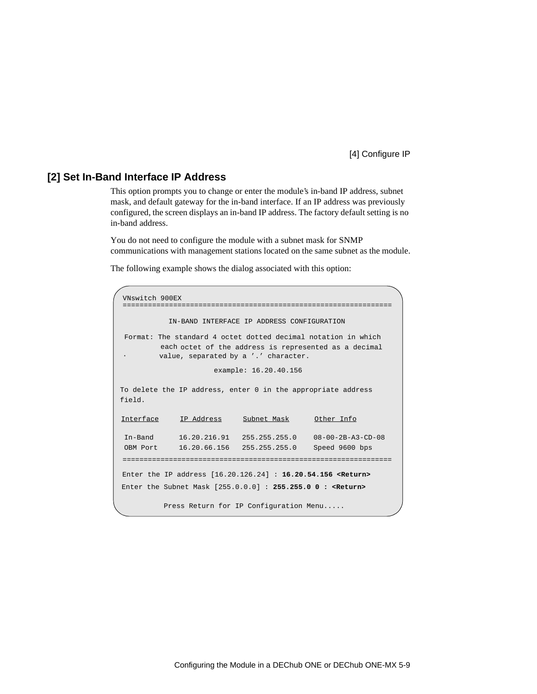#### <span id="page-60-0"></span>**[2] Set In-Band Interface IP Address**

This option prompts you to change or enter the module's in-band IP address, subnet mask, and default gateway for the in-band interface. If an IP address was previously configured, the screen displays an in-band IP address. The factory default setting is no in-band address.

You do not need to configure the module with a subnet mask for SNMP communications with management stations located on the same subnet as the module.

```
VNswitch 900EX 
 ================================================================
           IN-BAND INTERFACE IP ADDRESS CONFIGURATION
                      example: 16.20.40.156
To delete the IP address, enter 0 in the appropriate address 
Interface IP Address Subnet Mask Other Info
In-Band 16.20.216.91 255.255.255.0 08-00-2B-A3-CD-08
OBM Port 16.20.66.156 255.255.255.0 Speed 9600 bps 
Enter the IP address [16.20.126.24] : 16.20.54.156 <Return>
Enter the Subnet Mask [255.0.0.0] : 255.255.0 0 : <Return>
 .
          Press Return for IP Configuration Menu.....
Format: The standard 4 octet dotted decimal notation in which 
         each octet of the address is represented as a decimal
         value, separated by a '.' character.
================================================================
field.
```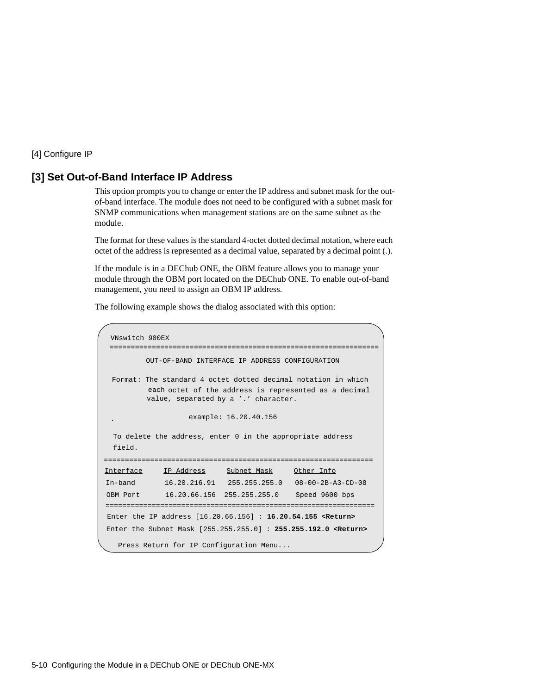#### <span id="page-61-0"></span>**[3] Set Out-of-Band Interface IP Address**

This option prompts you to change or enter the IP address and subnet mask for the outof-band interface. The module does not need to be configured with a subnet mask for SNMP communications when management stations are on the same subnet as the module.

The format for these values is the standard 4-octet dotted decimal notation, where each octet of the address is represented as a decimal value, separated by a decimal point (.).

If the module is in a DEChub ONE, the OBM feature allows you to manage your module through the OBM port located on the DEChub ONE. To enable out-of-band management, you need to assign an OBM IP address.

```
VNswitch 900EX
         OUT-OF-BAND INTERFACE IP ADDRESS CONFIGURATION
                   example: 16.20.40.156
 To delete the address, enter 0 in the appropriate address 
Interface IP Address Subnet Mask Other Info
In-band 16.20.216.91 255.255.255.0 08-00-2B-A3-CD-08
OBM Port 16.20.66.156 255.255.255.0 Speed 9600 bps 
Enter the IP address [16.20.66.156] : 16.20.54.155 <Return>
Enter the Subnet Mask [255.255.255.0] : 255.255.192.0 <Return>
   Press Return for IP Configuration Menu...
 .
================================================================
================================================================
 ================================================================
 field.
 Format: The standard 4 octet dotted decimal notation in which 
          each octet of the address is represented as a decimal
          value, separated by a '.' character.
```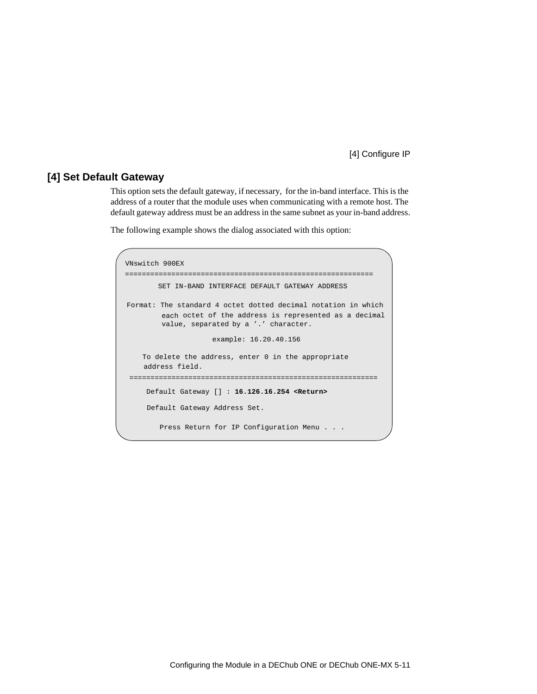#### <span id="page-62-0"></span>**[4] Set Default Gateway**

This option sets the default gateway, if necessary, for the in-band interface. This is the address of a router that the module uses when communicating with a remote host. The default gateway address must be an address in the same subnet as your in-band address.

```
VNswitch 900EX
===========================================================
        SET IN-BAND INTERFACE DEFAULT GATEWAY ADDRESS
                      example: 16.20.40.156
     To delete the address, enter 0 in the appropriate
     address field.
 ===========================================================
    Default Gateway [] : 16.126.16.254 <Return> 
     Default Gateway Address Set.
        Press Return for IP Configuration Menu . . .
Format: The standard 4 octet dotted decimal notation in which 
         each octet of the address is represented as a decimal
         value, separated by a '.' character.
```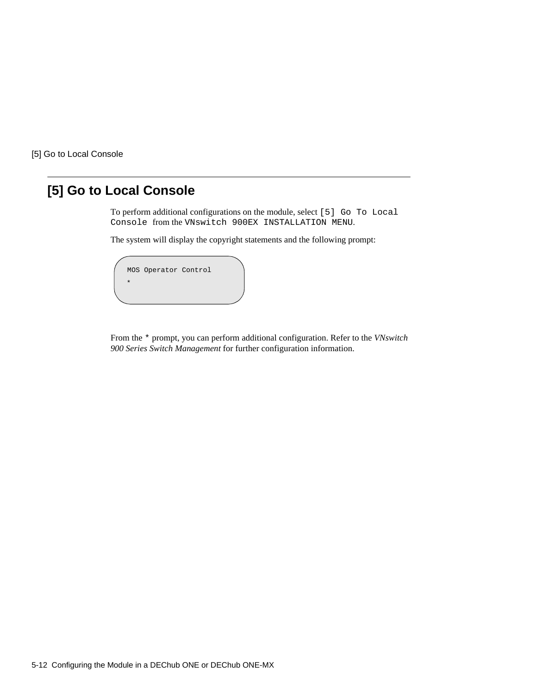<span id="page-63-0"></span>[5] Go to Local Console

# **[5] Go to Local Console**

To perform additional configurations on the module, select [5] Go To Local Console from the VNswitch 900EX INSTALLATION MENU.

The system will display the copyright statements and the following prompt:



From the \* prompt, you can perform additional configuration. Refer to the *VNswitch 900 Series Switch Management* for further configuration information.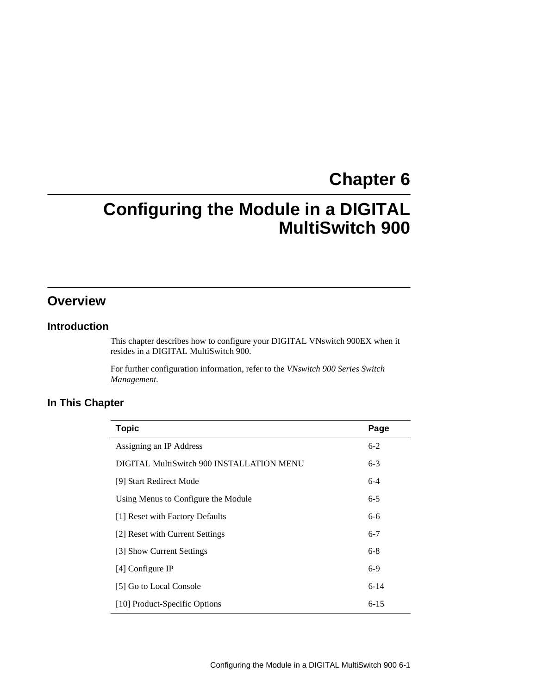# **Chapter 6**

# **Configuring the Module in a DIGITAL MultiSwitch 900**

# **Overview**

#### **Introduction**

This chapter describes how to configure your DIGITAL VNswitch 900EX when it resides in a DIGITAL MultiSwitch 900.

For further configuration information, refer to the *VNswitch 900 Series Switch Management.*

#### **In This Chapter**

| <b>Topic</b>                              | Page     |
|-------------------------------------------|----------|
| Assigning an IP Address                   | $6-2$    |
| DIGITAL MultiSwitch 900 INSTALLATION MENU | $6 - 3$  |
| [9] Start Redirect Mode                   | $6 - 4$  |
| Using Menus to Configure the Module       | $6 - 5$  |
| [1] Reset with Factory Defaults           | 6-6      |
| [2] Reset with Current Settings           | $6 - 7$  |
| [3] Show Current Settings                 | $6-8$    |
| [4] Configure IP                          | $6-9$    |
| [5] Go to Local Console                   | $6 - 14$ |
| [10] Product-Specific Options             | $6 - 15$ |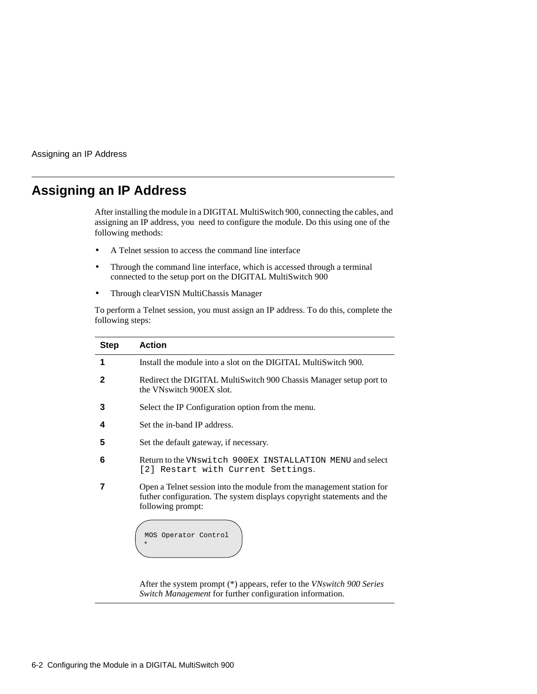<span id="page-65-0"></span>Assigning an IP Address

## **Assigning an IP Address**

After installing the module in a DIGITAL MultiSwitch 900, connecting the cables, and assigning an IP address, you need to configure the module. Do this using one of the following methods:

- A Telnet session to access the command line interface
- Through the command line interface, which is accessed through a terminal connected to the setup port on the DIGITAL MultiSwitch 900
- Through clearVISN MultiChassis Manager

To perform a Telnet session, you must assign an IP address. To do this, complete the following steps:

| <b>Step</b> | <b>Action</b>                                                                                                                                                        |
|-------------|----------------------------------------------------------------------------------------------------------------------------------------------------------------------|
| 1           | Install the module into a slot on the DIGITAL MultiSwitch 900.                                                                                                       |
| 2           | Redirect the DIGITAL MultiSwitch 900 Chassis Manager setup port to<br>the VNswitch 900EX slot.                                                                       |
| 3           | Select the IP Configuration option from the menu.                                                                                                                    |
| 4           | Set the in-band IP address.                                                                                                                                          |
| 5           | Set the default gateway, if necessary.                                                                                                                               |
| 6           | Return to the VNswitch 900EX INSTALLATION MENU and select<br>[2] Restart with Current Settings.                                                                      |
|             | Open a Telnet session into the module from the management station for<br>futher configuration. The system displays copyright statements and the<br>following prompt: |
|             | MOS Operator Control<br>$^\star$                                                                                                                                     |

After the system prompt (\*) appears, refer to the *VNswitch 900 Series Switch Management* for further configuration information.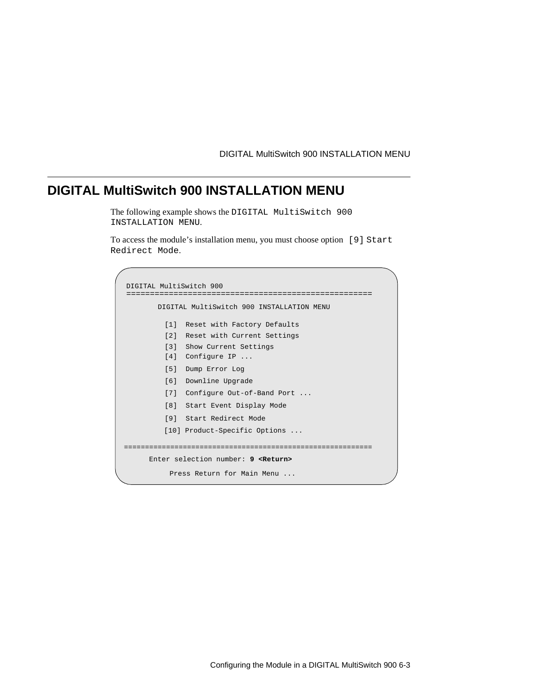DIGITAL MultiSwitch 900 INSTALLATION MENU

# <span id="page-66-0"></span>**DIGITAL MultiSwitch 900 INSTALLATION MENU**

The following example shows the DIGITAL MultiSwitch 900 INSTALLATION MENU.

To access the module's installation menu, you must choose option [9] Start Redirect Mode.

```
DIGITAL MultiSwitch 900
====================================================
       DIGITAL MultiSwitch 900 INSTALLATION MENU
         [1] Reset with Factory Defaults
         [2] Reset with Current Settings
         [3] Show Current Settings
         [4] Configure IP
 ...
         [5] Dump Error Log
         [6] Downline Upgrade
         [7] Configure Out-of-Band Port
 ...
         [8] Start Event Display Mode
         [9] Start Redirect Mode
      Enter selection number: 9 <Return>
===========================================================
          Press Return for Main Menu ...
         [10] Product-Specific Options
 ...
```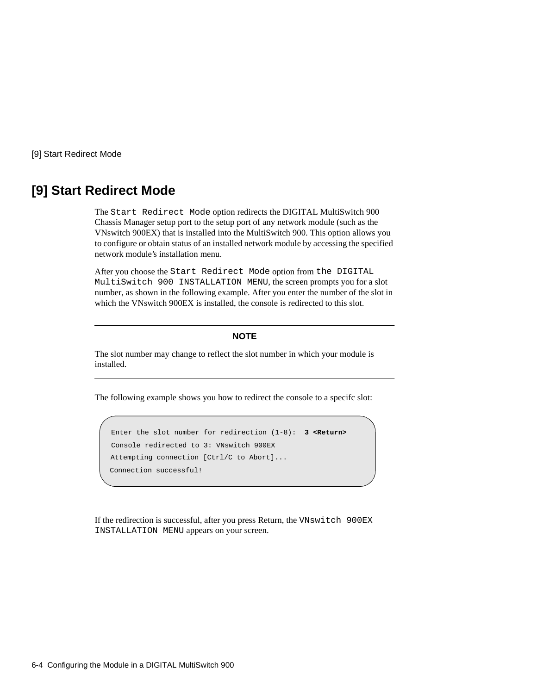<span id="page-67-0"></span>[9] Start Redirect Mode

## **[9] Start Redirect Mode**

The Start Redirect Mode option redirects the DIGITAL MultiSwitch 900 Chassis Manager setup port to the setup port of any network module (such as the VNswitch 900EX) that is installed into the MultiSwitch 900. This option allows you to configure or obtain status of an installed network module by accessing the specified network module's installation menu.

After you choose the Start Redirect Mode option from the DIGITAL MultiSwitch 900 INSTALLATION MENU, the screen prompts you for a slot number, as shown in the following example. After you enter the number of the slot in which the VNswitch 900EX is installed, the console is redirected to this slot.

#### **NOTE**

The slot number may change to reflect the slot number in which your module is installed.

The following example shows you how to redirect the console to a specifc slot:

```
Enter the slot number for redirection (1-8): 3 <Return>
Console redirected to 3: VNswitch 900EX
Attempting connection [Ctrl/C to Abort]...
Connection successful!
```
If the redirection is successful, after you press Return, the VNswitch 900EX INSTALLATION MENU appears on your screen.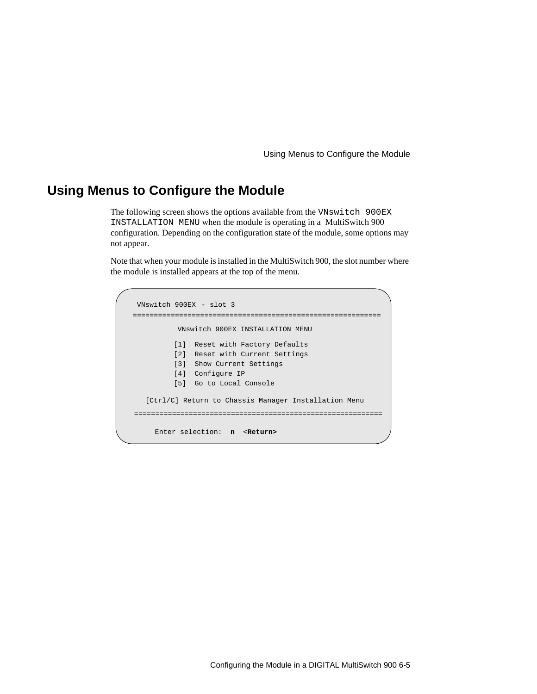Using Menus to Configure the Module

## <span id="page-68-0"></span>**Using Menus to Configure the Module**

The following screen shows the options available from the VNswitch 900EX INSTALLATION MENU when the module is operating in a MultiSwitch 900 configuration. Depending on the configuration state of the module, some options may not appear.

Note that when your module is installed in the MultiSwitch 900, the slot number where the module is installed appears at the top of the menu.

```
VNswitch 900EX
- slot 3
===========================================================
         VNswitch 900EX INSTALLATION MENU
        [1] Reset with Factory Defaults
        [2] Reset with Current Settings
         [3] Show Current Settings
         [4] Configure IP
         [5] Go to Local Console
===========================================================
    Enter selection: n <Return> 
  [Ctrl/C] Return to Chassis Manager Installation Menu
```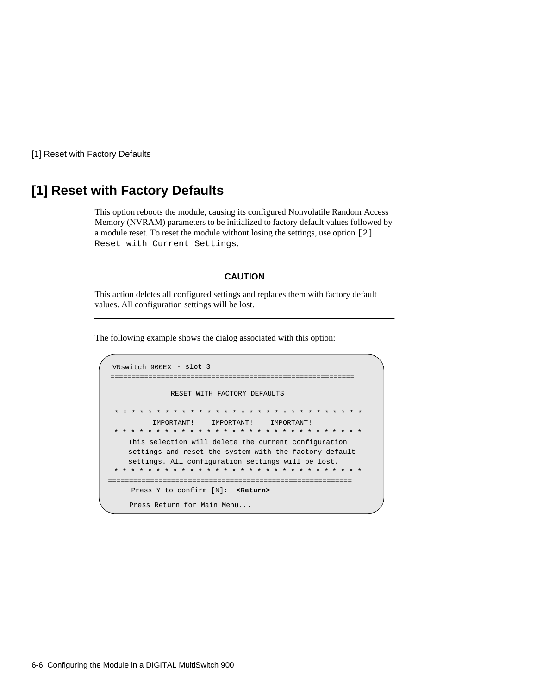<span id="page-69-0"></span>[1] Reset with Factory Defaults

# **[1] Reset with Factory Defaults**

This option reboots the module, causing its configured Nonvolatile Random Access Memory (NVRAM) parameters to be initialized to factory default values followed by a module reset. To reset the module without losing the settings, use option [2] Reset with Current Settings.

#### **CAUTION**

This action deletes all configured settings and replaces them with factory default values. All configuration settings will be lost.

```
==========================================================
                RESET WITH FACTORY DEFAULTS 
     * * * * * * * * * * * * * * * * * * * * * * * * * *
           IMPORTANT! IMPORTANT! IMPORTANT! 
     This selection will delete the current configuration 
     settings and reset the system with the factory default 
     settings. All configuration settings will be lost. 
==========================================================
     Press Y to confirm [N]: <Return>
     Press Return for Main Menu...
                                                        * * * *
     * * * * * * * * * * * * * * * * * * * * * * * * * * * * * *
   * * * * * * * * * * * * * * * * * * * * * * * * * * * * * *
VNswitch 900EX - slot 3
```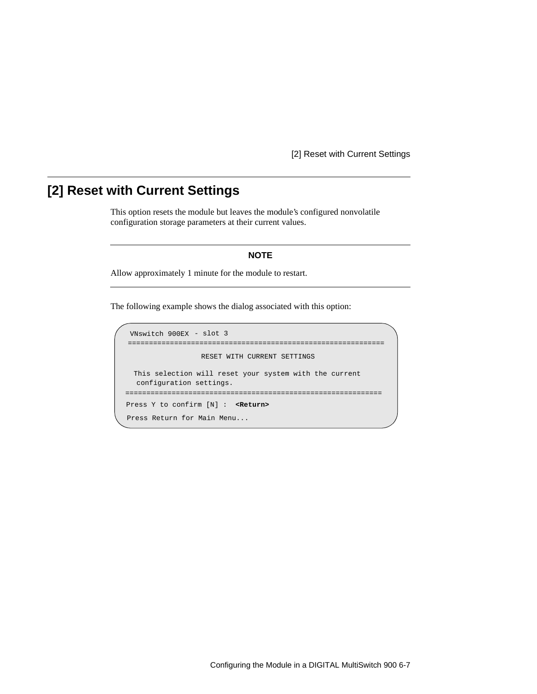[2] Reset with Current Settings

# <span id="page-70-0"></span>**[2] Reset with Current Settings**

This option resets the module but leaves the module's configured nonvolatile configuration storage parameters at their current values.

#### **NOTE**

Allow approximately 1 minute for the module to restart.

```
=============================================================
                  RESET WITH CURRENT SETTINGS
  This selection will reset your system with the current 
  configuration settings. 
=============================================================
Press Y to confirm [N] : <Return>
Press Return for Main Menu...
VNswitch 900EX - slot 3
```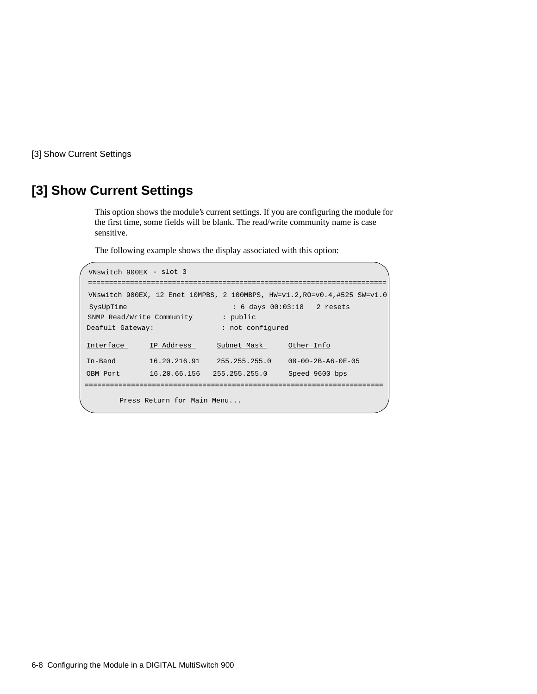<span id="page-71-0"></span>[3] Show Current Settings

# **[3] Show Current Settings**

This option shows the module's current settings. If you are configuring the module for the first time, some fields will be blank. The read/write community name is case sensitive.

```
=======================================================================
 VNswitch 900EX, 12 Enet 10MPBS, 2 100MBPS, HW=v1.2,RO=v0.4,#525 SW=v1.0
 SysUpTime : 6 days 00:03:18 2 resets
SNMP Read/Write Community : public
Interface IP Address Subnet Mask Other Info
In-Band 16.20.216.91 255.255.255.0 08-00-2B-A6-0E-05
OBM Port 16.20.66.156 255.255.255.0 Speed 9600 bps 
        Press Return for Main Menu...
=======================================================================
Deafult Gateway: \qquad \qquad : not configured
VNswitch 900EX - slot 3
```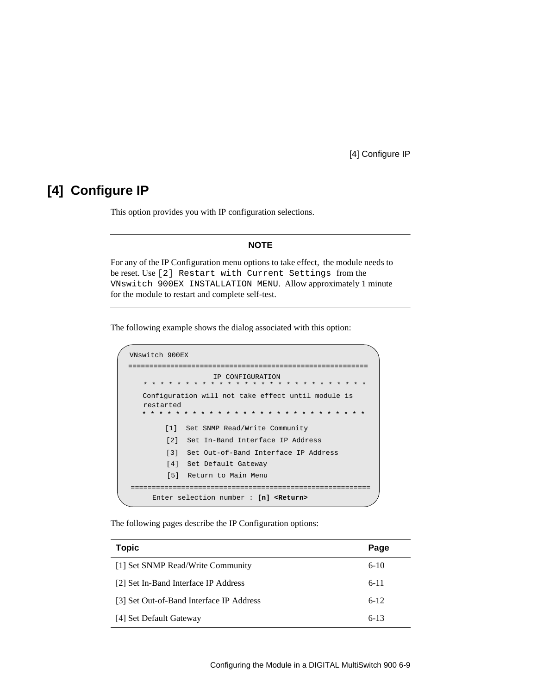## **[4] Configure IP**

This option provides you with IP configuration selections.

### **NOTE**

For any of the IP Configuration menu options to take effect, the module needs to be reset. Use [2] Restart with Current Settings from the VNswitch 900EX INSTALLATION MENU. Allow approximately 1 minute for the module to restart and complete self-test.

The following example shows the dialog associated with this option:

```
VNswitch 900EX 
=========================================================
                   IP CONFIGURATION
        [1] Set SNMP Read/Write Community
        [2] Set In-Band Interface IP Address
        [4] Set Default Gateway
        [5] Return to Main Menu
     Enter selection number : [n] <Return>
        [3] Set Out-of-Band Interface IP Address
   * * * * * * * * * * * * * * * * * * * * * * * * * * * 
  Configuration will not take effect until module is 
  restarted
   * * * * * * * * * * * * * * * * * * * * * * * * * * * 
=========================================================
```
The following pages describe the IP Configuration options:

| <b>Topic</b>                             | Page     |
|------------------------------------------|----------|
| [1] Set SNMP Read/Write Community        | $6-10$   |
| [2] Set In-Band Interface IP Address     | $6 - 11$ |
| [3] Set Out-of-Band Interface IP Address | $6 - 12$ |
| [4] Set Default Gateway                  | $6 - 13$ |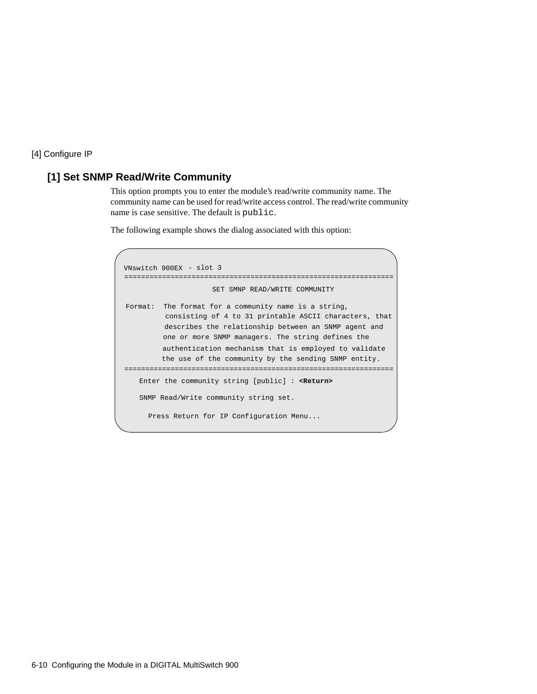## <span id="page-73-0"></span>**[1] Set SNMP Read/Write Community**

This option prompts you to enter the module's read/write community name. The community name can be used for read/write access control. The read/write community name is case sensitive. The default is public.

```
================================================================
                     SET SMNP READ/WRITE COMMUNITY
Format: The format for a community name is a string,
          consisting of 4 to 31 printable ASCII characters, that
          describes the relationship between an SNMP agent and
          one or more SNMP managers. The string defines the
          authentication mechanism that is employed to validate
          the use of the community by the sending SNMP entity.
================================================================
   Enter the community string [public] : <Return>
   SNMP Read/Write community string set.
     Press Return for IP Configuration Menu...
VNswitch 900EX - slot 3
```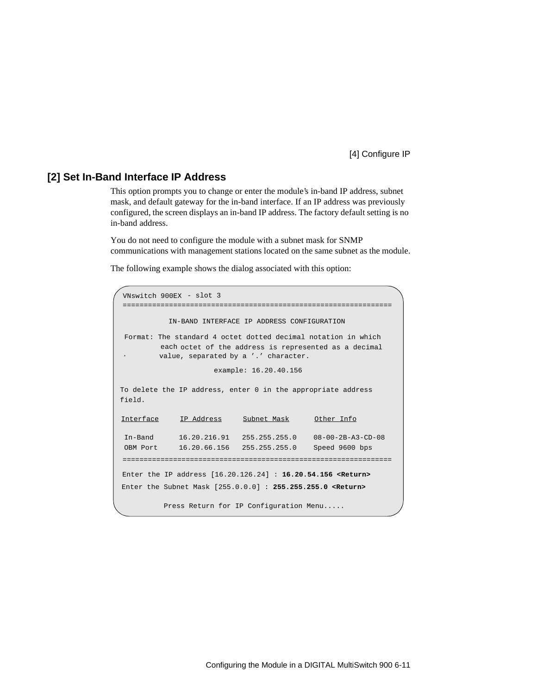### <span id="page-74-0"></span>**[2] Set In-Band Interface IP Address**

This option prompts you to change or enter the module's in-band IP address, subnet mask, and default gateway for the in-band interface. If an IP address was previously configured, the screen displays an in-band IP address. The factory default setting is no in-band address.

You do not need to configure the module with a subnet mask for SNMP communications with management stations located on the same subnet as the module.

```
================================================================
           IN-BAND INTERFACE IP ADDRESS CONFIGURATION
                      example: 16.20.40.156
To delete the IP address, enter 0 in the appropriate address 
Interface IP Address Subnet Mask Other Info
In-Band 16.20.216.91 255.255.255.0 08-00-2B-A3-CD-08
OBM Port 16.20.66.156 255.255.255.0 Speed 9600 bps 
Enter the IP address [16.20.126.24] : 16.20.54.156 <Return>
Enter the Subnet Mask [255.0.0.0] : 255.255.255.0 <Return>
 .
          Press Return for IP Configuration Menu.....
Format: The standard 4 octet dotted decimal notation in which 
         each octet of the address is represented as a decimal
         value, separated by a '.' character.
================================================================
field.
VNswitch 900EX - slot 3
```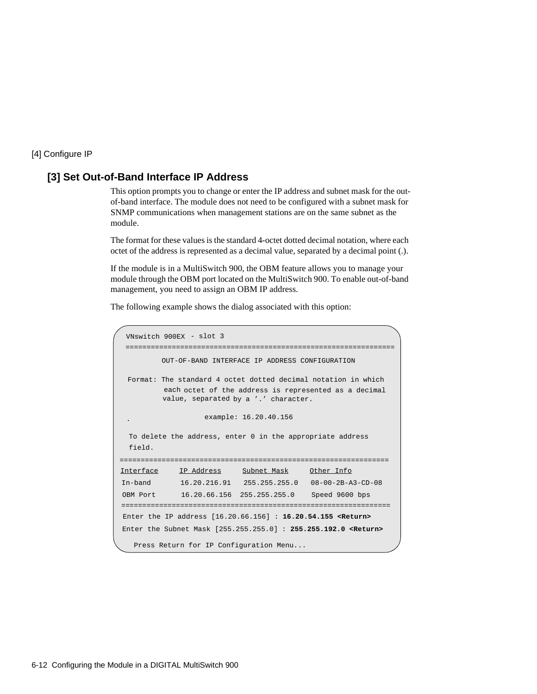#### <span id="page-75-0"></span>**[3] Set Out-of-Band Interface IP Address**

This option prompts you to change or enter the IP address and subnet mask for the outof-band interface. The module does not need to be configured with a subnet mask for SNMP communications when management stations are on the same subnet as the module.

The format for these values is the standard 4-octet dotted decimal notation, where each octet of the address is represented as a decimal value, separated by a decimal point (.).

If the module is in a MultiSwitch 900, the OBM feature allows you to manage your module through the OBM port located on the MultiSwitch 900. To enable out-of-band management, you need to assign an OBM IP address.

```
OUT-OF-BAND INTERFACE IP ADDRESS CONFIGURATION
                   example: 16.20.40.156
 To delete the address, enter 0 in the appropriate address 
Interface IP Address Subnet Mask Other Info
In-band 16.20.216.91 255.255.255.0 08-00-2B-A3-CD-08
OBM Port 16.20.66.156 255.255.255.0 Speed 9600 bps 
Enter the IP address [16.20.66.156] : 16.20.54.155 <Return>
Enter the Subnet Mask [255.255.255.0] : 255.255.192.0 <Return>
   Press Return for IP Configuration Menu...
 .
================================================================
================================================================
 ================================================================
 field.
 Format: The standard 4 octet dotted decimal notation in which 
          each octet of the address is represented as a decimal
          value, separated by a '.' character.
 VNswitch 900EX - slot 3
```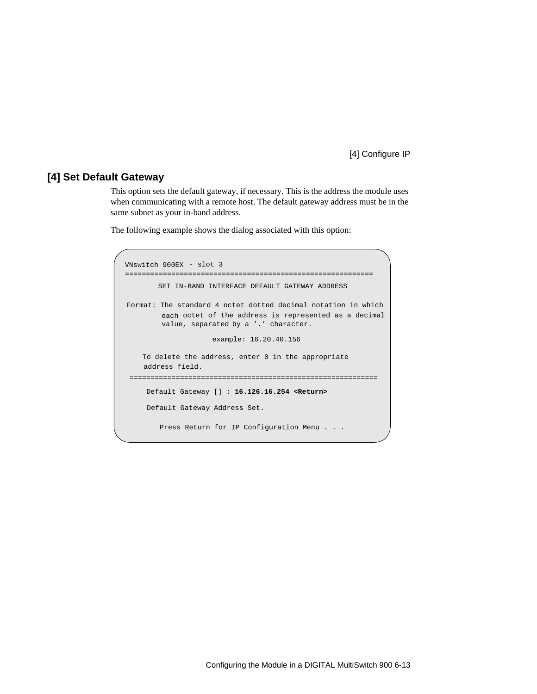### <span id="page-76-0"></span>**[4] Set Default Gateway**

This option sets the default gateway, if necessary. This is the address the module uses when communicating with a remote host. The default gateway address must be in the same subnet as your in-band address.

```
===========================================================
       SET IN-BAND INTERFACE DEFAULT GATEWAY ADDRESS
                      example: 16.20.40.156
     To delete the address, enter 0 in the appropriate
     address field.
 ===========================================================
    Default Gateway [] : 16.126.16.254 <Return> 
     Default Gateway Address Set.
        Press Return for IP Configuration Menu . . .
Format: The standard 4 octet dotted decimal notation in which 
         each octet of the address is represented as a decimal
         value, separated by a '.' character.
VNswitch 900EX - slot 3
```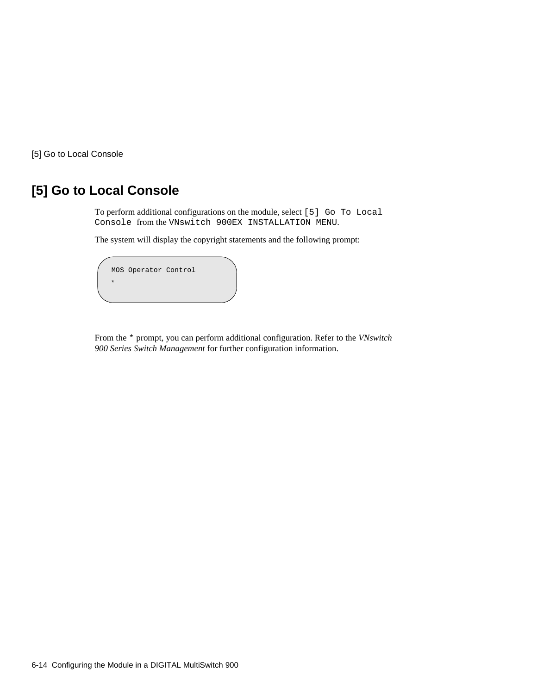[5] Go to Local Console

# **[5] Go to Local Console**

To perform additional configurations on the module, select [5] Go To Local Console from the VNswitch 900EX INSTALLATION MENU.

The system will display the copyright statements and the following prompt:

```
MOS Operator Control
*
```
From the \* prompt, you can perform additional configuration. Refer to the *VNswitch 900 Series Switch Management* for further configuration information.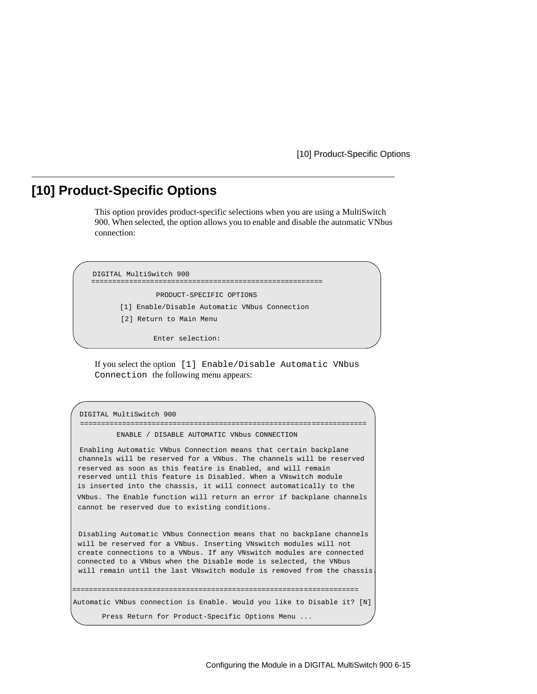[10] Product-Specific Options

## **[10] Product-Specific Options**

This option provides product-specific selections when you are using a MultiSwitch 900. When selected, the option allows you to enable and disable the automatic VNbus connection:

```
[1] Enable/Disable Automatic VNbus Connection
=======================================================
               PRODUCT-SPECIFIC OPTIONS
       [2] Return to Main Menu
DIGITAL MultiSwitch 900
```
Enter selection:

If you select the option [1] Enable/Disable Automatic VNbus Connection the following menu appears:

```
DIGITAL MultiSwitch 900
          ENABLE / DISABLE AUTOMATIC VNbus CONNECTION
 Enabling Automatic VNbus Connection means that certain backplane
channels will be reserved for a VNbus. The channels will be reserved
reserved as soon as this featire is Enabled, and will remain
reserved until this feature is Disabled. When a VNswitch module
is inserted into the chassis, it will connect automatically to the
VNbus. The Enable function will return an error if backplane channels 
cannot be reserved due to existing conditions.
Disabling Automatic VNbus Connection means that no backplane channels 
will be reserved for a VNbus. Inserting VNswitch modules will not
create connections to a VNbus. If any VNswitch modules are connected
connected to a VNbus when the Disable mode is selected, the VNbus
will remain until the last VNswitch module is removed from the chassis. 
 ====================================================================
====================================================================
Automatic VNbus connection is Enable. Would you like to Disable it? [N]
      Press Return for Product-Specific Options Menu ...
```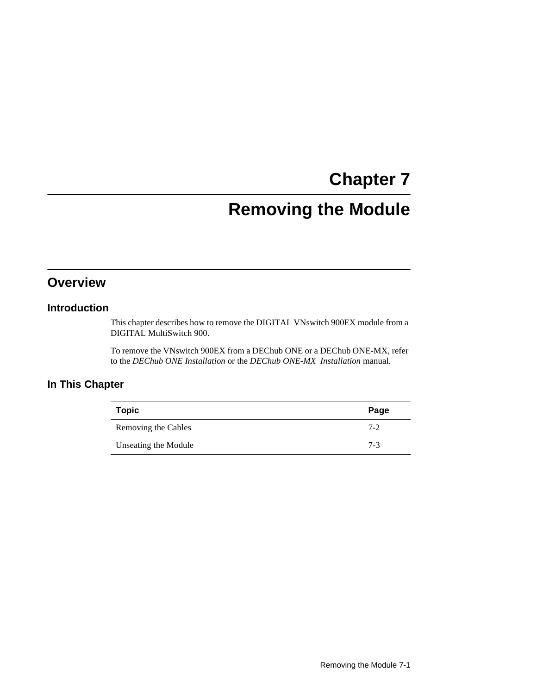# **Chapter 7**

# **Removing the Module**

## **Overview**

## **Introduction**

This chapter describes how to remove the DIGITAL VNswitch 900EX module from a DIGITAL MultiSwitch 900.

To remove the VNswitch 900EX from a DEChub ONE or a DEChub ONE-MX, refer to the *DEChub ONE Installation* or the *DEChub ONE-MX Installation* manual.

## **In This Chapter**

| <b>Topic</b>         | Page    |
|----------------------|---------|
| Removing the Cables  | $7 - 2$ |
| Unseating the Module | $7-3$   |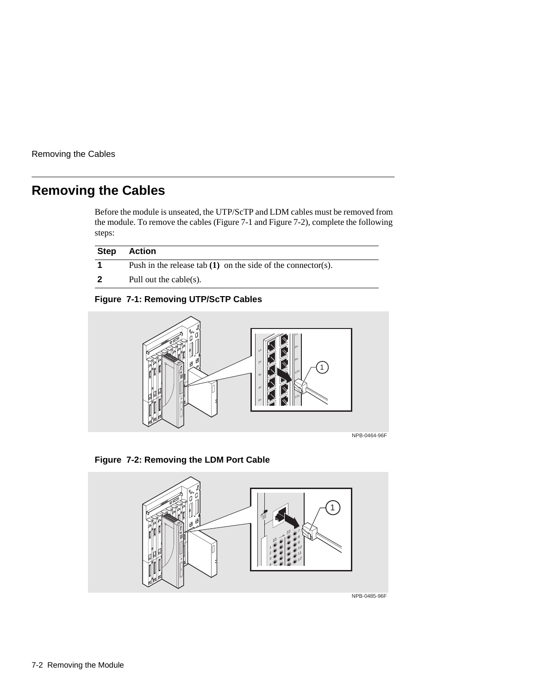<span id="page-81-0"></span>Removing the Cables

# **Removing the Cables**

Before the module is unseated, the UTP/ScTP and LDM cables must be removed from the module. To remove the cables (Figure 7-1 and Figure 7-2), complete the following steps:

| <b>Step</b> | Action                                                         |
|-------------|----------------------------------------------------------------|
|             | Push in the release tab $(1)$ on the side of the connector(s). |
|             | Pull out the cable $(s)$ .                                     |

## **Figure 7-1: Removing UTP/ScTP Cables**



NPB-0464-96F

### **Figure 7-2: Removing the LDM Port Cable**

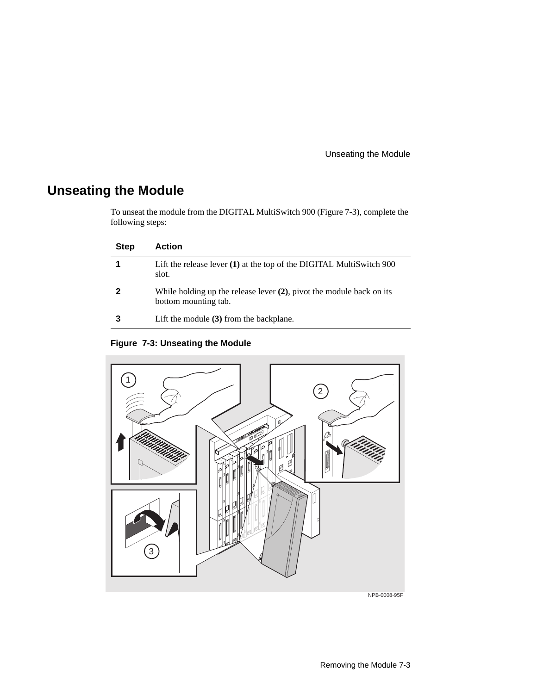Unseating the Module

# <span id="page-82-0"></span>**Unseating the Module**

To unseat the module from the DIGITAL MultiSwitch 900 (Figure 7-3), complete the following steps:

| <b>Step</b> | <b>Action</b>                                                                                   |
|-------------|-------------------------------------------------------------------------------------------------|
|             | Lift the release lever (1) at the top of the DIGITAL MultiSwitch 900<br>slot.                   |
|             | While holding up the release lever $(2)$ , pivot the module back on its<br>bottom mounting tab. |
|             | Lift the module $(3)$ from the backplane.                                                       |

**Figure 7-3: Unseating the Module**



NPB-0008-95F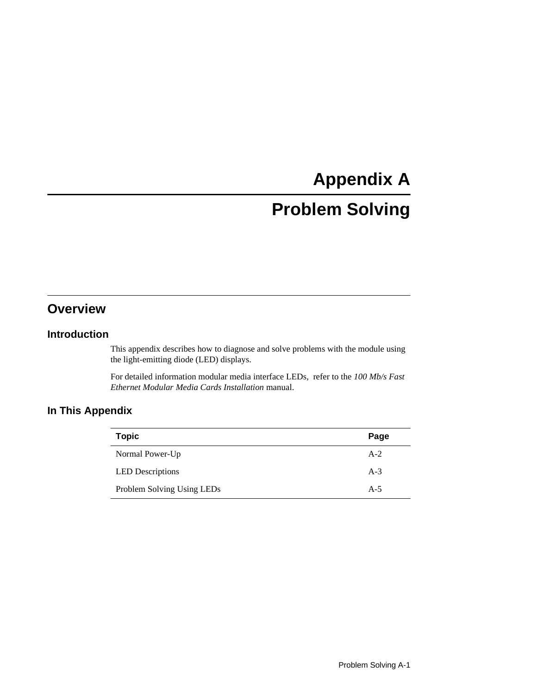# **Appendix A**

# **Problem Solving**

# **Overview**

### **Introduction**

This appendix describes how to diagnose and solve problems with the module using the light-emitting diode (LED) displays.

For detailed information modular media interface LEDs, refer to the *100 Mb/s Fast Ethernet Modular Media Cards Installation* manual.

## **In This Appendix**

| <b>Topic</b>               | Page  |
|----------------------------|-------|
| Normal Power-Up            | $A-2$ |
| <b>LED</b> Descriptions    | $A-3$ |
| Problem Solving Using LEDs | $A-5$ |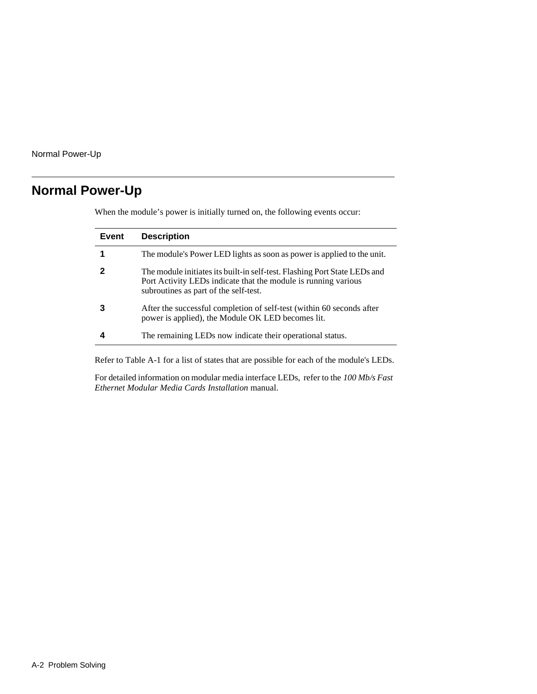<span id="page-85-0"></span>Normal Power-Up

# **Normal Power-Up**

| Event | <b>Description</b>                                                                                                                                                                   |
|-------|--------------------------------------------------------------------------------------------------------------------------------------------------------------------------------------|
|       | The module's Power LED lights as soon as power is applied to the unit.                                                                                                               |
|       | The module initiates its built-in self-test. Flashing Port State LEDs and<br>Port Activity LEDs indicate that the module is running various<br>subroutines as part of the self-test. |
|       | After the successful completion of self-test (within 60 seconds after<br>power is applied), the Module OK LED becomes lit.                                                           |
|       | The remaining LEDs now indicate their operational status.                                                                                                                            |

When the module's power is initially turned on, the following events occur:

Refer to [Table A-1](#page-86-0) for a list of states that are possible for each of the module's LEDs.

For detailed information on modular media interface LEDs, refer to the *100 Mb/s Fast Ethernet Modular Media Cards Installation* manual.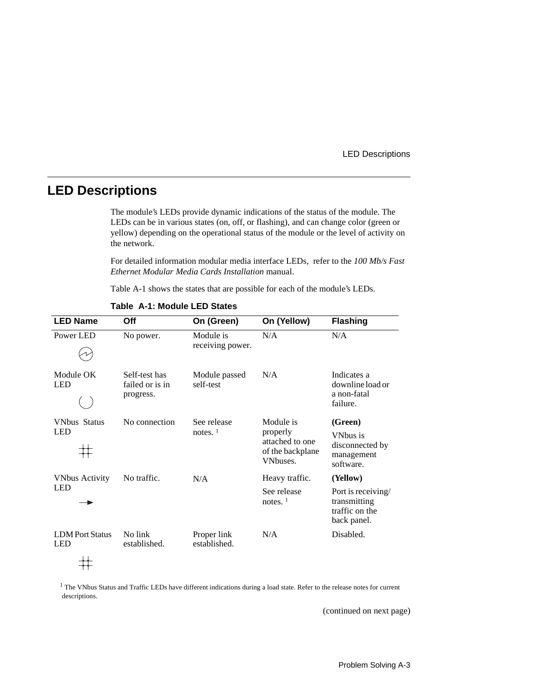#### LED Descriptions

## <span id="page-86-0"></span>**LED Descriptions**

The module's LEDs provide dynamic indications of the status of the module. The LEDs can be in various states (on, off, or flashing), and can change color (green or yellow) depending on the operational status of the module or the level of activity on the network.

For detailed information modular media interface LEDs, refer to the *100 Mb/s Fast Ethernet Modular Media Cards Installation* manual.

Table A-1 shows the states that are possible for each of the module's LEDs.

| <b>LED Name</b>                      | Off                                           | On (Green)                    | On (Yellow)                                                              | <b>Flashing</b>                                                                 |
|--------------------------------------|-----------------------------------------------|-------------------------------|--------------------------------------------------------------------------|---------------------------------------------------------------------------------|
| Power LED                            | No power.                                     | Module is<br>receiving power. | N/A                                                                      | N/A                                                                             |
| Module OK<br><b>LED</b>              | Self-test has<br>failed or is in<br>progress. | Module passed<br>self-test    | N/A                                                                      | Indicates a<br>downline load or<br>a non-fatal<br>failure.                      |
| <b>VNbus Status</b><br><b>LED</b>    | No connection                                 | See release<br>notes. $1$     | Module is<br>properly<br>attached to one<br>of the backplane<br>VNbuses. | (Green)<br>VN <sub>bus</sub> is<br>disconnected by<br>management<br>software.   |
| <b>VNbus Activity</b><br><b>LED</b>  | No traffic.                                   | N/A                           | Heavy traffic.<br>See release<br>notes. $1$                              | (Yellow)<br>Port is receiving/<br>transmitting<br>traffic on the<br>back panel. |
| <b>LDM</b> Port Status<br><b>LED</b> | No link<br>established.                       | Proper link<br>established.   | N/A                                                                      | Disabled.                                                                       |

**Table A-1: Module LED States**

<sup>1</sup> The VNbus Status and Traffic LEDs have different indications during a load state. Refer to the release notes for current descriptions.

(continued on next page)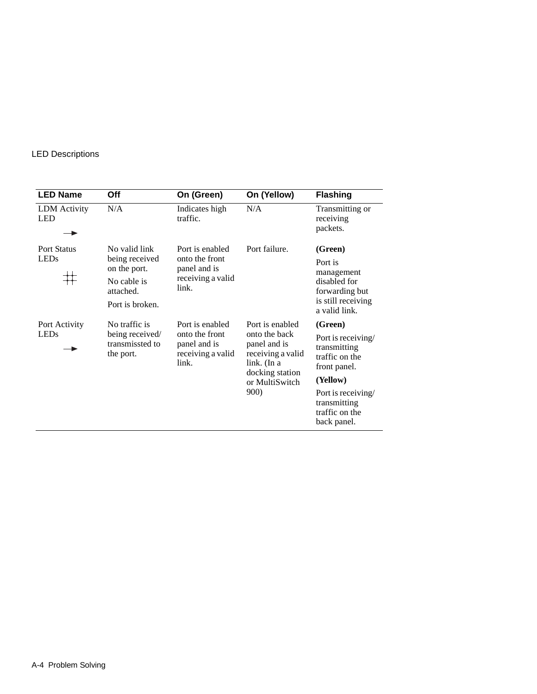### LED Descriptions

| <b>LED Name</b>                   | Off                                                                                            | On (Green)                                                                      | On (Yellow)                                                                                                                       | <b>Flashing</b>                                                                                                                                                    |
|-----------------------------------|------------------------------------------------------------------------------------------------|---------------------------------------------------------------------------------|-----------------------------------------------------------------------------------------------------------------------------------|--------------------------------------------------------------------------------------------------------------------------------------------------------------------|
| LDM Activity<br><b>LED</b>        | N/A                                                                                            | Indicates high<br>traffic.                                                      | N/A                                                                                                                               | Transmitting or<br>receiving<br>packets.                                                                                                                           |
| <b>Port Status</b><br><b>LEDs</b> | No valid link<br>being received<br>on the port.<br>No cable is<br>attached.<br>Port is broken. | Port is enabled<br>onto the front<br>panel and is<br>receiving a valid<br>link. | Port failure.                                                                                                                     | (Green)<br>Port is<br>management<br>disabled for<br>forwarding but<br>is still receiving<br>a valid link.                                                          |
| Port Activity<br><b>LEDs</b>      | No traffic is<br>being received/<br>transmissted to<br>the port.                               | Port is enabled<br>onto the front<br>panel and is<br>receiving a valid<br>link. | Port is enabled<br>onto the back<br>panel and is<br>receiving a valid<br>link. (In a<br>docking station<br>or MultiSwitch<br>900) | (Green)<br>Port is receiving/<br>transmitting<br>traffic on the<br>front panel.<br>(Yellow)<br>Port is receiving/<br>transmitting<br>traffic on the<br>back panel. |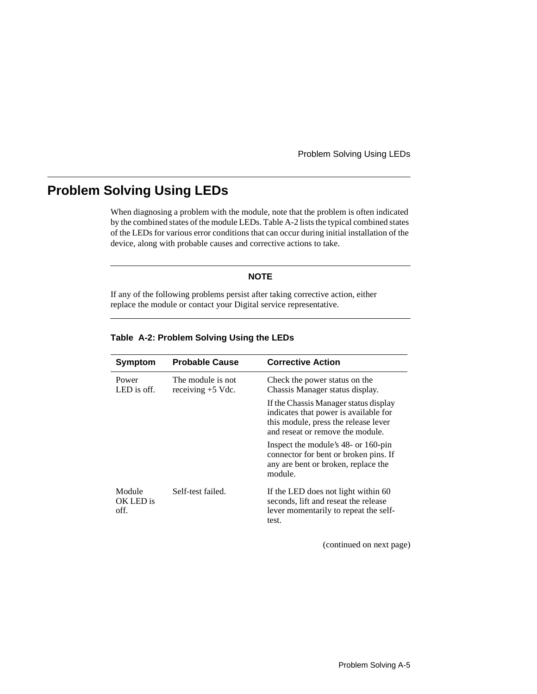Problem Solving Using LEDs

## <span id="page-88-0"></span>**Problem Solving Using LEDs**

When diagnosing a problem with the module, note that the problem is often indicated by the combined states of the module LEDs. Table A-2 lists the typical combined states of the LEDs for various error conditions that can occur during initial installation of the device, along with probable causes and corrective actions to take.

#### **NOTE**

If any of the following problems persist after taking corrective action, either replace the module or contact your Digital service representative.

| Symptom                     | <b>Probable Cause</b>                    | <b>Corrective Action</b>                                                                                                                                   |
|-----------------------------|------------------------------------------|------------------------------------------------------------------------------------------------------------------------------------------------------------|
| Power<br>LED is off.        | The module is not<br>receiving $+5$ Vdc. | Check the power status on the<br>Chassis Manager status display.                                                                                           |
|                             |                                          | If the Chassis Manager status display<br>indicates that power is available for<br>this module, press the release lever<br>and reseat or remove the module. |
|                             |                                          | Inspect the module's 48- or 160-pin<br>connector for bent or broken pins. If<br>any are bent or broken, replace the<br>module.                             |
| Module<br>OK LED is<br>off. | Self-test failed.                        | If the LED does not light within 60<br>seconds, lift and reseat the release<br>lever momentarily to repeat the self-<br>test.                              |

#### **Table A-2: Problem Solving Using the LEDs**

(continued on next page)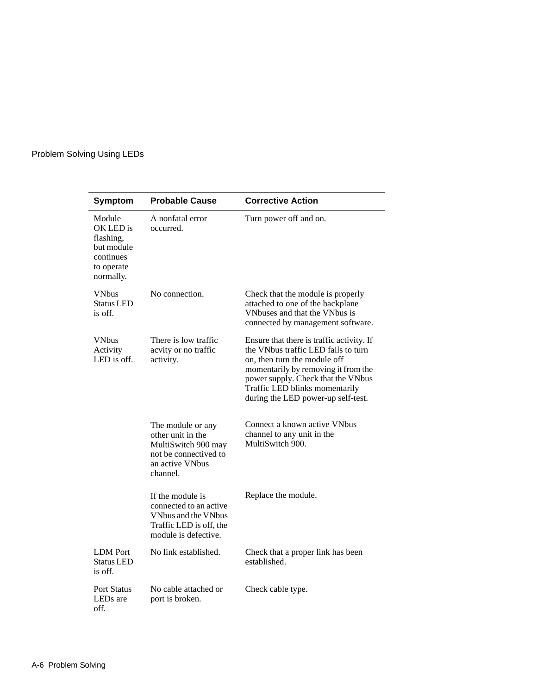## Problem Solving Using LEDs

| <b>Symptom</b>                                                                         | <b>Probable Cause</b>                                                                                                 | <b>Corrective Action</b>                                                                                                                                                                                                                                              |
|----------------------------------------------------------------------------------------|-----------------------------------------------------------------------------------------------------------------------|-----------------------------------------------------------------------------------------------------------------------------------------------------------------------------------------------------------------------------------------------------------------------|
| Module<br>OK LED is<br>flashing,<br>but module<br>continues<br>to operate<br>normally. | A nonfatal error<br>occurred.                                                                                         | Turn power off and on.                                                                                                                                                                                                                                                |
| <b>VNbus</b><br><b>Status LED</b><br>is off.                                           | No connection.                                                                                                        | Check that the module is properly<br>attached to one of the backplane<br>VNbuses and that the VNbus is<br>connected by management software.                                                                                                                           |
| <b>VNbus</b><br>Activity<br>LED is off.                                                | There is low traffic<br>acvity or no traffic<br>activity.                                                             | Ensure that there is traffic activity. If<br>the VNbus traffic LED fails to turn<br>on, then turn the module off<br>momentarily by removing it from the<br>power supply. Check that the VNbus<br>Traffic LED blinks momentarily<br>during the LED power-up self-test. |
|                                                                                        | The module or any<br>other unit in the<br>MultiSwitch 900 may<br>not be connectived to<br>an active VNbus<br>channel. | Connect a known active VNbus<br>channel to any unit in the<br>MultiSwitch 900.                                                                                                                                                                                        |
|                                                                                        | If the module is<br>connected to an active<br>VNbus and the VNbus<br>Traffic LED is off, the<br>module is defective.  | Replace the module.                                                                                                                                                                                                                                                   |
| <b>LDM</b> Port<br><b>Status LED</b><br>is off.                                        | No link established.                                                                                                  | Check that a proper link has been<br>established.                                                                                                                                                                                                                     |
| <b>Port Status</b><br>LEDs are<br>off.                                                 | No cable attached or<br>port is broken.                                                                               | Check cable type.                                                                                                                                                                                                                                                     |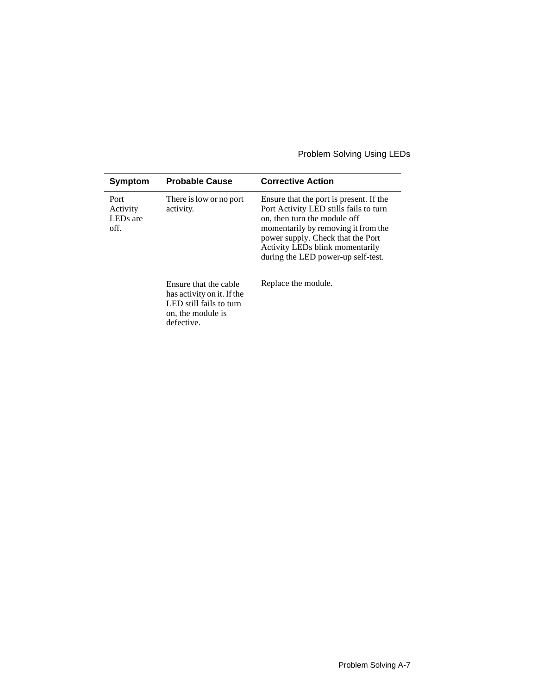## Problem Solving Using LEDs

| Symptom                                          | <b>Probable Cause</b>                                                                                             | <b>Corrective Action</b>                                                                                                                                                                                                                                               |
|--------------------------------------------------|-------------------------------------------------------------------------------------------------------------------|------------------------------------------------------------------------------------------------------------------------------------------------------------------------------------------------------------------------------------------------------------------------|
| Port<br>Activity<br>LED <sub>s</sub> are<br>off. | There is low or no port<br>activity.                                                                              | Ensure that the port is present. If the<br>Port Activity LED stills fails to turn<br>on, then turn the module off<br>momentarily by removing it from the<br>power supply. Check that the Port<br>Activity LEDs blink momentarily<br>during the LED power-up self-test. |
|                                                  | Ensure that the cable<br>has activity on it. If the<br>LED still fails to turn<br>on, the module is<br>defective. | Replace the module.                                                                                                                                                                                                                                                    |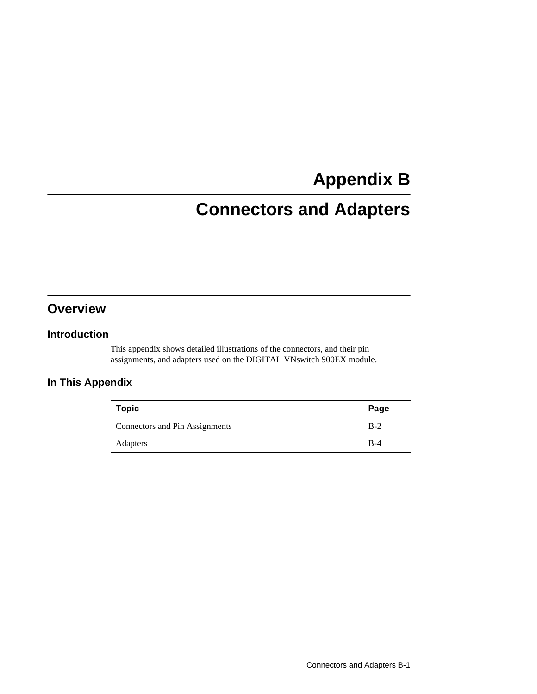# **Appendix B**

# **Connectors and Adapters**

# **Overview**

### **Introduction**

This appendix shows detailed illustrations of the connectors, and their pin assignments, and adapters used on the DIGITAL VNswitch 900EX module.

## **In This Appendix**

| <b>Topic</b>                   | Page  |
|--------------------------------|-------|
| Connectors and Pin Assignments | $B-2$ |
| Adapters                       | $B-4$ |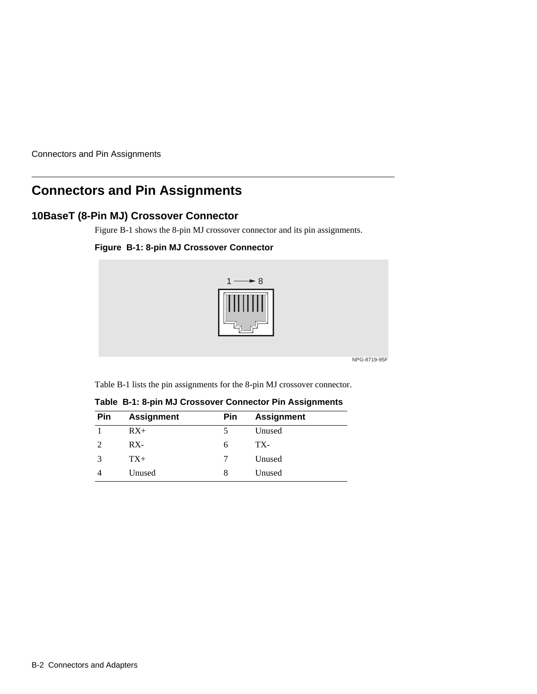<span id="page-93-0"></span>Connectors and Pin Assignments

# **Connectors and Pin Assignments**

## **10BaseT (8-Pin MJ) Crossover Connector**

Figure B-1 shows the 8-pin MJ crossover connector and its pin assignments.

### **Figure B-1: 8-pin MJ Crossover Connector**



NPG-8719-95F

Table B-1 lists the pin assignments for the 8-pin MJ crossover connector.

| Pin                         | <b>Assignment</b> | Pin | <b>Assignment</b> |  |
|-----------------------------|-------------------|-----|-------------------|--|
|                             | $RX+$             |     | Unused            |  |
| $\mathcal{D}_{\mathcal{L}}$ | $RX -$            | h   | TX-               |  |
|                             | $TX+$             |     | Unused            |  |
|                             | Unused            | 8   | Unused            |  |

**Table B-1: 8-pin MJ Crossover Connector Pin Assignments**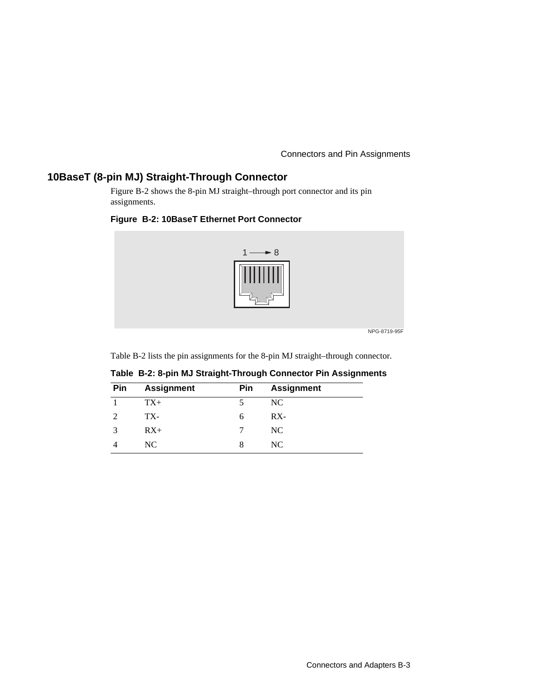Connectors and Pin Assignments

## **10BaseT (8-pin MJ) Straight-Through Connector**

Figure B-2 shows the 8-pin MJ straight–through port connector and its pin assignments.

### **Figure B-2: 10BaseT Ethernet Port Connector**



Table B-2 lists the pin assignments for the 8-pin MJ straight–through connector.

| Pin | <b>Assignment</b> | Pin | <b>Assignment</b> |  |
|-----|-------------------|-----|-------------------|--|
|     | $TX+$             |     | NC                |  |
|     | TX-               | 6   | $RX -$            |  |
|     | $RX+$             |     | NC                |  |
|     | NC.               |     | NC.               |  |

**Table B-2: 8-pin MJ Straight-Through Connector Pin Assignments**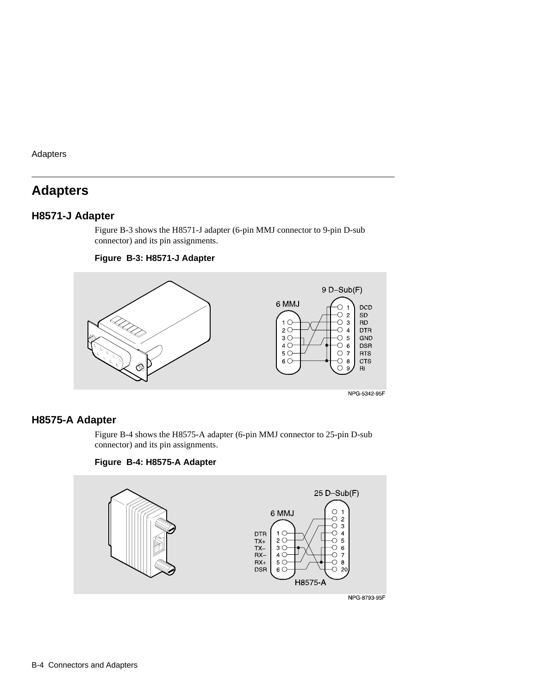<span id="page-95-0"></span>Adapters

# **Adapters**

## **H8571-J Adapter**

Figure B-3 shows the H8571-J adapter (6-pin MMJ connector to 9-pin D-sub connector) and its pin assignments.

#### **Figure B-3: H8571-J Adapter**



### **H8575-A Adapter**

Figure B-4 shows the H8575-A adapter (6-pin MMJ connector to 25-pin D-sub connector) and its pin assignments.

### **Figure B-4: H8575-A Adapter**

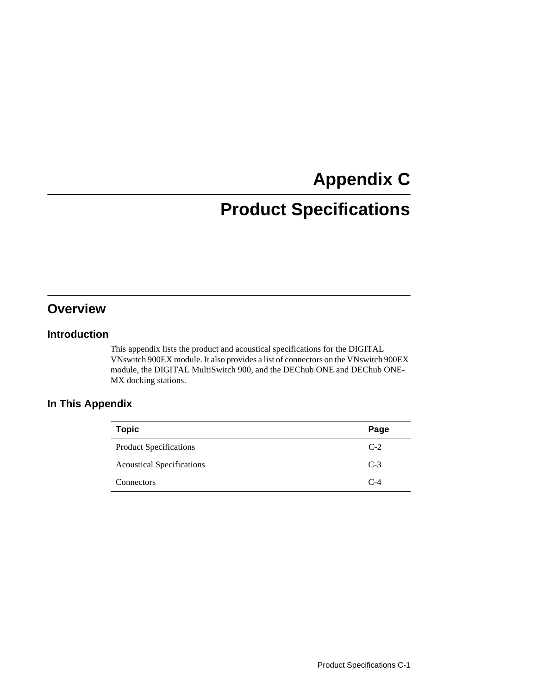# **Appendix C**

# **Product Specifications**

# **Overview**

### **Introduction**

This appendix lists the product and acoustical specifications for the DIGITAL VNswitch 900EX module. It also provides a list of connectors on the VNswitch 900EX module, the DIGITAL MultiSwitch 900, and the DEChub ONE and DEChub ONE-MX docking stations.

## **In This Appendix**

| <b>Topic</b>                     | Page  |
|----------------------------------|-------|
| <b>Product Specifications</b>    | $C-2$ |
| <b>Acoustical Specifications</b> | $C-3$ |
| Connectors                       | $C-4$ |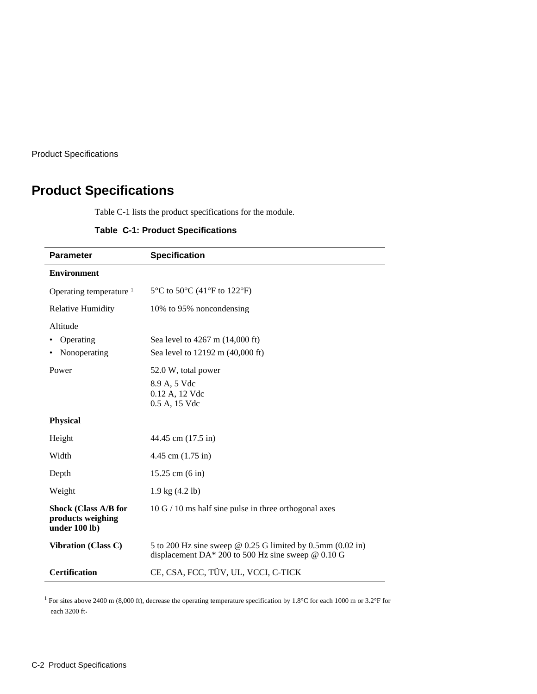<span id="page-97-0"></span>Product Specifications

j.

# **Product Specifications**

Table C-1 lists the product specifications for the module.

### **Table C-1: Product Specifications**

| <b>Parameter</b>                                                  | <b>Specification</b>                                                                                                      |
|-------------------------------------------------------------------|---------------------------------------------------------------------------------------------------------------------------|
| <b>Environment</b>                                                |                                                                                                                           |
| Operating temperature $1$                                         | 5 $\rm{^{\circ}C}$ to 50 $\rm{^{\circ}C}$ (41 $\rm{^{\circ}F}$ to 122 $\rm{^{\circ}F}$ )                                  |
| <b>Relative Humidity</b>                                          | 10% to 95% noncondensing                                                                                                  |
| Altitude                                                          |                                                                                                                           |
| Operating                                                         | Sea level to 4267 m (14,000 ft)                                                                                           |
| Nonoperating                                                      | Sea level to 12192 m (40,000 ft)                                                                                          |
| Power                                                             | 52.0 W, total power                                                                                                       |
|                                                                   | 8.9 A, 5 Vdc                                                                                                              |
|                                                                   | 0.12 A, 12 Vdc                                                                                                            |
|                                                                   | 0.5 A, 15 Vdc                                                                                                             |
| <b>Physical</b>                                                   |                                                                                                                           |
| Height                                                            | 44.45 cm (17.5 in)                                                                                                        |
| Width                                                             | 4.45 cm $(1.75 \text{ in})$                                                                                               |
| Depth                                                             | $15.25$ cm $(6 \text{ in})$                                                                                               |
| Weight                                                            | $1.9 \text{ kg} (4.2 \text{ lb})$                                                                                         |
| <b>Shock (Class A/B for</b><br>products weighing<br>under 100 lb) | $10 G / 10$ ms half sine pulse in three orthogonal axes                                                                   |
| <b>Vibration (Class C)</b>                                        | 5 to 200 Hz sine sweep $\omega$ 0.25 G limited by 0.5mm (0.02 in)<br>displacement DA* 200 to 500 Hz sine sweep $@$ 0.10 G |
| <b>Certification</b>                                              | CE, CSA, FCC, TÜV, UL, VCCI, C-TICK                                                                                       |

<sup>1</sup> For sites above 2400 m (8,000 ft), decrease the operating temperature specification by 1.8°C for each 1000 m or 3.2°F for each 3200 ft.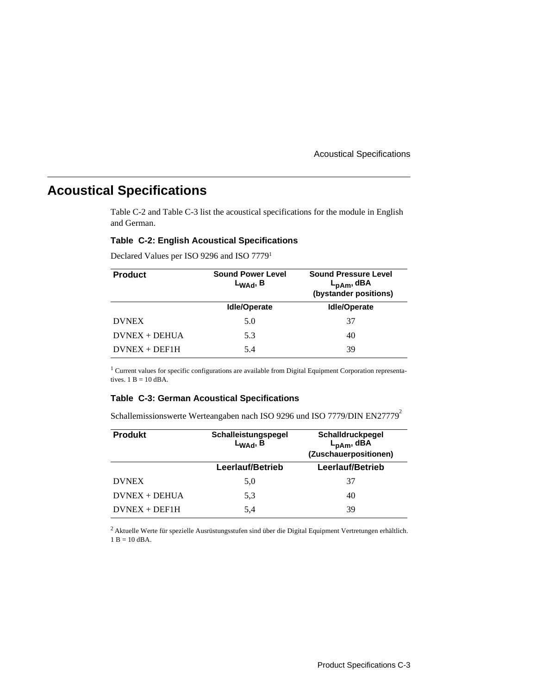Acoustical Specifications

# <span id="page-98-0"></span>**Acoustical Specifications**

Table C-2 and Table C-3 list the acoustical specifications for the module in English and German.

### **Table C-2: English Acoustical Specifications**

Declared Values per ISO 9296 and ISO 77791

| <b>Product</b>  | <b>Sound Power Level</b><br>$L_{WAd}$ , B | <b>Sound Pressure Level</b><br>$L_{\mathsf{pAm}}$ , dBA<br>(bystander positions) |
|-----------------|-------------------------------------------|----------------------------------------------------------------------------------|
|                 | <b>Idle/Operate</b>                       | <b>Idle/Operate</b>                                                              |
| <b>DVNEX</b>    | 5.0                                       | 37                                                                               |
| $DVMEX + DEHUA$ | 5.3                                       | 40                                                                               |
| $DVMEX + DEF1H$ | 5.4                                       | 39                                                                               |

<sup>1</sup> Current values for specific configurations are available from Digital Equipment Corporation representatives.  $1 B = 10$  dBA.

#### **Table C-3: German Acoustical Specifications**

Schallemissionswerte Werteangaben nach ISO 9296 und ISO 7779/DIN EN27779<sup>2</sup>

| <b>Produkt</b>  | Schalleistungspegel<br>$L_{WAd}$ , B | Schalldruckpegel<br>$L_{\sf pAm}$ , dBA<br>(Zuschauerpositionen) |
|-----------------|--------------------------------------|------------------------------------------------------------------|
|                 | Leerlauf/Betrieb                     | Leerlauf/Betrieb                                                 |
| <b>DVNEX</b>    | 5,0                                  | 37                                                               |
| $DVMEX + DEHUA$ | 5.3                                  | 40                                                               |
| $DVMEX + DEF1H$ | 5.4                                  | 39                                                               |

2 Aktuelle Werte für spezielle Ausrüstungsstufen sind über die Digital Equipment Vertretungen erhältlich.  $1 B = 10$  dBA.